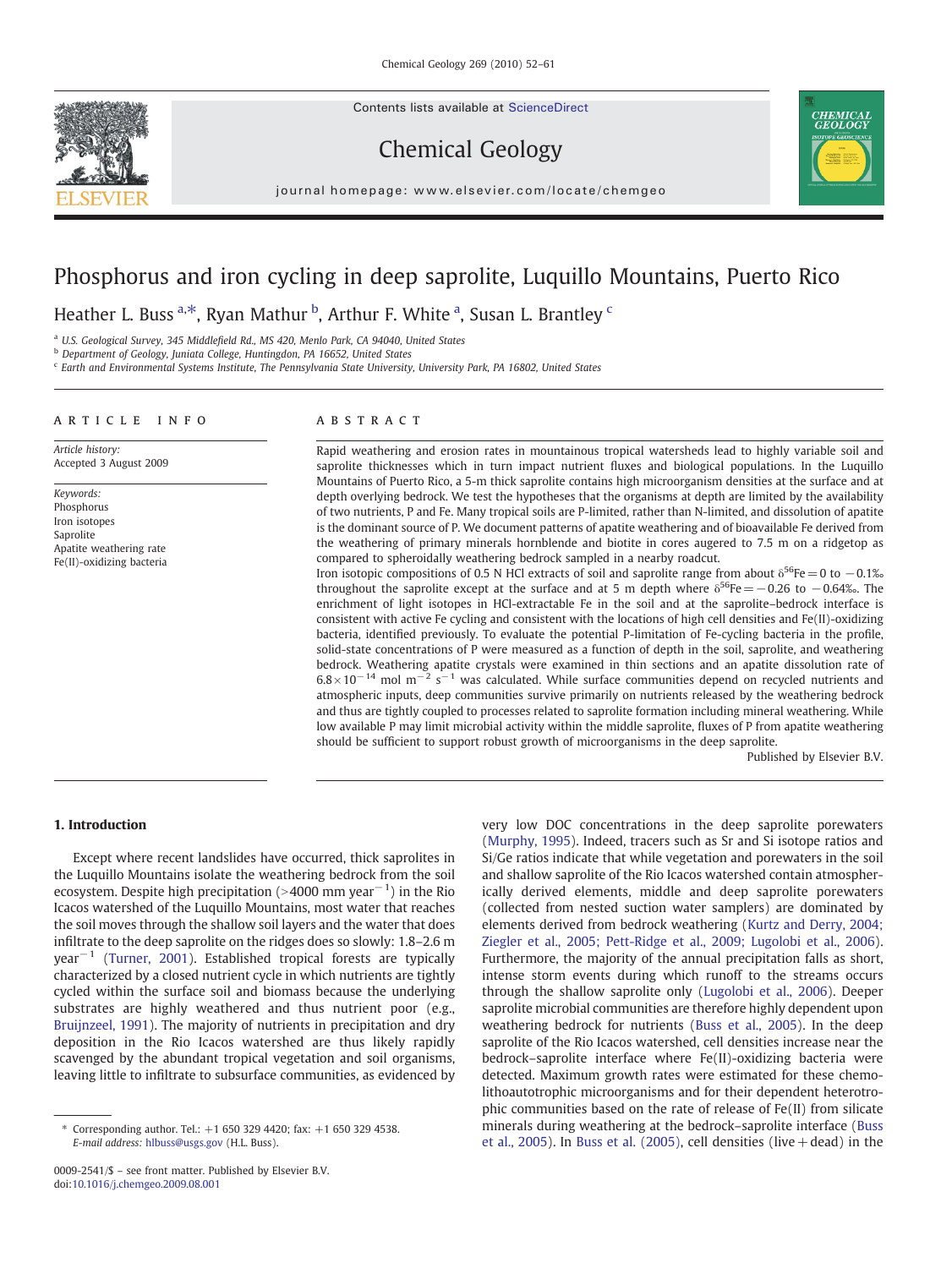Contents lists available at ScienceDirect







journal homepage: www.elsevier.com/locate/chemgeo

# Phosphorus and iron cycling in deep saprolite, Luquillo Mountains, Puerto Rico

Heather L. Buss <sup>a,\*</sup>, Ryan Mathur <sup>b</sup>, Arthur F. White <sup>a</sup>, Susan L. Brantley <sup>c</sup>

<sup>a</sup> U.S. Geological Survey, 345 Middlefield Rd., MS 420, Menlo Park, CA 94040, United States

b Department of Geology, Juniata College, Huntingdon, PA 16652, United States

<sup>c</sup> Earth and Environmental Systems Institute, The Pennsylvania State University, University Park, PA 16802, United States

# article info abstract

Article history: Accepted 3 August 2009

Keywords: Phosphorus Iron isotopes Saprolite Apatite weathering rate Fe(II)-oxidizing bacteria

Rapid weathering and erosion rates in mountainous tropical watersheds lead to highly variable soil and saprolite thicknesses which in turn impact nutrient fluxes and biological populations. In the Luquillo Mountains of Puerto Rico, a 5-m thick saprolite contains high microorganism densities at the surface and at depth overlying bedrock. We test the hypotheses that the organisms at depth are limited by the availability of two nutrients, P and Fe. Many tropical soils are P-limited, rather than N-limited, and dissolution of apatite is the dominant source of P. We document patterns of apatite weathering and of bioavailable Fe derived from the weathering of primary minerals hornblende and biotite in cores augered to 7.5 m on a ridgetop as compared to spheroidally weathering bedrock sampled in a nearby roadcut. Iron isotopic compositions of 0.5 N HCl extracts of soil and saprolite range from about  $\delta^{56}$ Fe = 0 to  $-0.1$ ‰

throughout the saprolite except at the surface and at 5 m depth where  $\delta^{56}Fe = -0.26$  to  $-0.64\%$ . The enrichment of light isotopes in HCl-extractable Fe in the soil and at the saprolite–bedrock interface is consistent with active Fe cycling and consistent with the locations of high cell densities and Fe(II)-oxidizing bacteria, identified previously. To evaluate the potential P-limitation of Fe-cycling bacteria in the profile, solid-state concentrations of P were measured as a function of depth in the soil, saprolite, and weathering bedrock. Weathering apatite crystals were examined in thin sections and an apatite dissolution rate of  $6.8 \times 10^{-14}$  mol m<sup>-2</sup> s<sup>-1</sup> was calculated. While surface communities depend on recycled nutrients and atmospheric inputs, deep communities survive primarily on nutrients released by the weathering bedrock and thus are tightly coupled to processes related to saprolite formation including mineral weathering. While low available P may limit microbial activity within the middle saprolite, fluxes of P from apatite weathering should be sufficient to support robust growth of microorganisms in the deep saprolite.

Published by Elsevier B.V.

## 1. Introduction

Except where recent landslides have occurred, thick saprolites in the Luquillo Mountains isolate the weathering bedrock from the soil ecosystem. Despite high precipitation (>4000 mm year<sup>-1</sup>) in the Rio Icacos watershed of the Luquillo Mountains, most water that reaches the soil moves through the shallow soil layers and the water that does infiltrate to the deep saprolite on the ridges does so slowly: 1.8–2.6 m year−<sup>1</sup> [\(Turner, 2001\)](#page-8-0). Established tropical forests are typically characterized by a closed nutrient cycle in which nutrients are tightly cycled within the surface soil and biomass because the underlying substrates are highly weathered and thus nutrient poor (e.g., [Bruijnzeel, 1991](#page-8-0)). The majority of nutrients in precipitation and dry deposition in the Rio Icacos watershed are thus likely rapidly scavenged by the abundant tropical vegetation and soil organisms, leaving little to infiltrate to subsurface communities, as evidenced by

very low DOC concentrations in the deep saprolite porewaters [\(Murphy, 1995](#page-8-0)). Indeed, tracers such as Sr and Si isotope ratios and Si/Ge ratios indicate that while vegetation and porewaters in the soil and shallow saprolite of the Rio Icacos watershed contain atmospherically derived elements, middle and deep saprolite porewaters (collected from nested suction water samplers) are dominated by elements derived from bedrock weathering ([Kurtz and Derry, 2004;](#page-8-0) [Ziegler et al., 2005; Pett-Ridge et al., 2009; Lugolobi et al., 2006](#page-8-0)). Furthermore, the majority of the annual precipitation falls as short, intense storm events during which runoff to the streams occurs through the shallow saprolite only [\(Lugolobi et al., 2006\)](#page-8-0). Deeper saprolite microbial communities are therefore highly dependent upon weathering bedrock for nutrients [\(Buss et al., 2005\)](#page-8-0). In the deep saprolite of the Rio Icacos watershed, cell densities increase near the bedrock–saprolite interface where Fe(II)-oxidizing bacteria were detected. Maximum growth rates were estimated for these chemolithoautotrophic microorganisms and for their dependent heterotrophic communities based on the rate of release of Fe(II) from silicate minerals during weathering at the bedrock–saprolite interface [\(Buss](#page-8-0) [et al., 2005\)](#page-8-0). In [Buss et al. \(2005\),](#page-8-0) cell densities (live + dead) in the

<sup>⁎</sup> Corresponding author. Tel.: +1 650 329 4420; fax: +1 650 329 4538. E-mail address: [hlbuss@usgs.gov](mailto:hlbuss@usgs.gov) (H.L. Buss).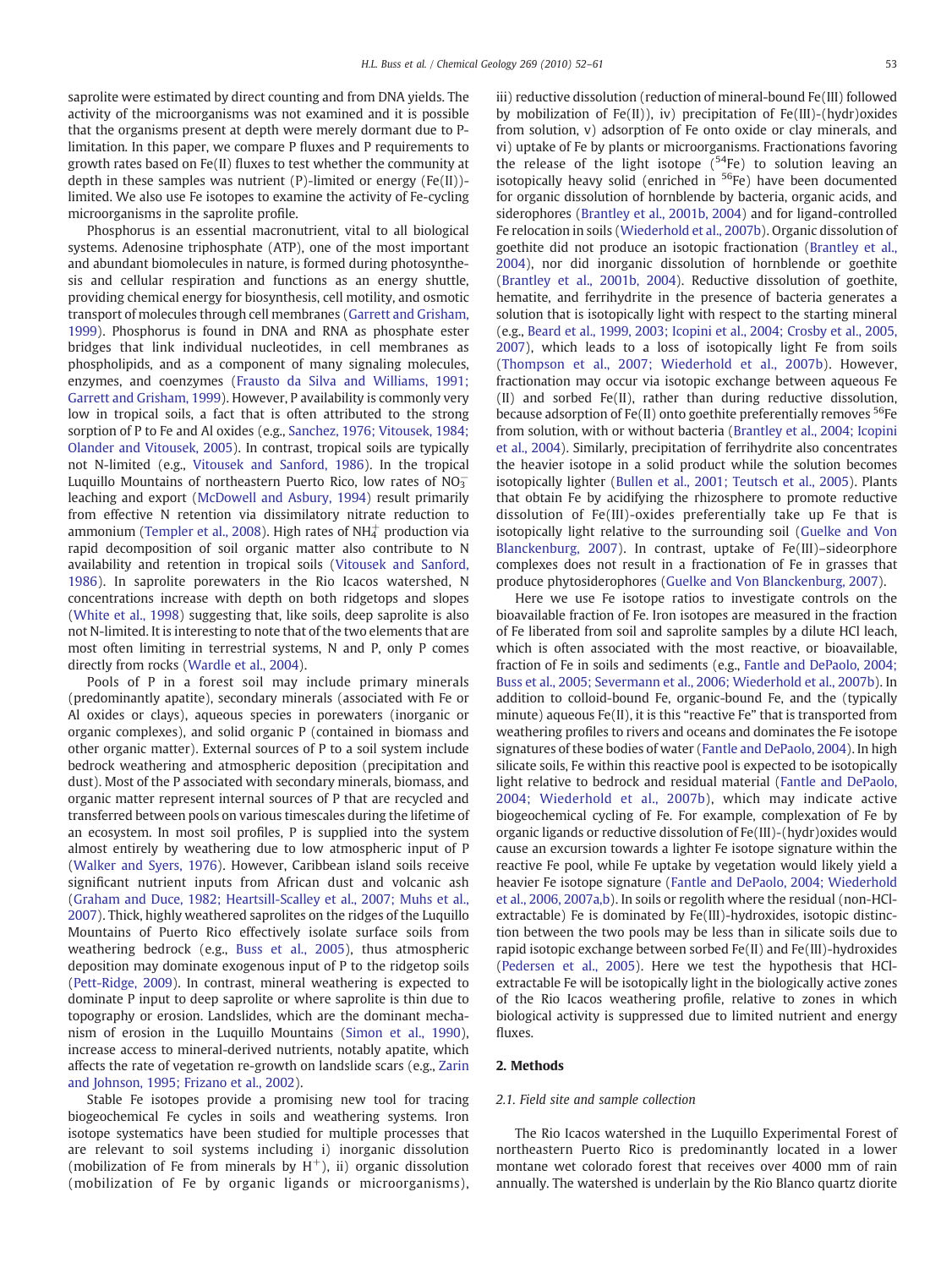saprolite were estimated by direct counting and from DNA yields. The activity of the microorganisms was not examined and it is possible that the organisms present at depth were merely dormant due to Plimitation. In this paper, we compare P fluxes and P requirements to growth rates based on Fe(II) fluxes to test whether the community at depth in these samples was nutrient (P)-limited or energy (Fe(II)) limited. We also use Fe isotopes to examine the activity of Fe-cycling microorganisms in the saprolite profile.

Phosphorus is an essential macronutrient, vital to all biological systems. Adenosine triphosphate (ATP), one of the most important and abundant biomolecules in nature, is formed during photosynthesis and cellular respiration and functions as an energy shuttle, providing chemical energy for biosynthesis, cell motility, and osmotic transport of molecules through cell membranes [\(Garrett and Grisham,](#page-8-0) [1999\)](#page-8-0). Phosphorus is found in DNA and RNA as phosphate ester bridges that link individual nucleotides, in cell membranes as phospholipids, and as a component of many signaling molecules, enzymes, and coenzymes [\(Frausto da Silva and Williams, 1991;](#page-8-0) [Garrett and Grisham, 1999](#page-8-0)). However, P availability is commonly very low in tropical soils, a fact that is often attributed to the strong sorption of P to Fe and Al oxides (e.g., [Sanchez, 1976; Vitousek, 1984;](#page-8-0) [Olander and Vitousek, 2005\)](#page-8-0). In contrast, tropical soils are typically not N-limited (e.g., [Vitousek and Sanford, 1986\)](#page-9-0). In the tropical Luquillo Mountains of northeastern Puerto Rico, low rates of  $NO<sub>3</sub>$ leaching and export ([McDowell and Asbury, 1994](#page-8-0)) result primarily from effective N retention via dissimilatory nitrate reduction to ammonium ([Templer et al., 2008](#page-8-0)). High rates of NH $_4^+$  production via rapid decomposition of soil organic matter also contribute to N availability and retention in tropical soils ([Vitousek and Sanford,](#page-9-0) [1986](#page-9-0)). In saprolite porewaters in the Rio Icacos watershed, N concentrations increase with depth on both ridgetops and slopes [\(White et al., 1998](#page-9-0)) suggesting that, like soils, deep saprolite is also not N-limited. It is interesting to note that of the two elements that are most often limiting in terrestrial systems, N and P, only P comes directly from rocks ([Wardle et al., 2004\)](#page-9-0).

Pools of P in a forest soil may include primary minerals (predominantly apatite), secondary minerals (associated with Fe or Al oxides or clays), aqueous species in porewaters (inorganic or organic complexes), and solid organic P (contained in biomass and other organic matter). External sources of P to a soil system include bedrock weathering and atmospheric deposition (precipitation and dust). Most of the P associated with secondary minerals, biomass, and organic matter represent internal sources of P that are recycled and transferred between pools on various timescales during the lifetime of an ecosystem. In most soil profiles, P is supplied into the system almost entirely by weathering due to low atmospheric input of P [\(Walker and Syers, 1976\)](#page-9-0). However, Caribbean island soils receive significant nutrient inputs from African dust and volcanic ash [\(Graham and Duce, 1982; Heartsill-Scalley et al., 2007; Muhs et al.,](#page-8-0) [2007\)](#page-8-0). Thick, highly weathered saprolites on the ridges of the Luquillo Mountains of Puerto Rico effectively isolate surface soils from weathering bedrock (e.g., [Buss et al., 2005\)](#page-8-0), thus atmospheric deposition may dominate exogenous input of P to the ridgetop soils [\(Pett-Ridge, 2009\)](#page-8-0). In contrast, mineral weathering is expected to dominate P input to deep saprolite or where saprolite is thin due to topography or erosion. Landslides, which are the dominant mechanism of erosion in the Luquillo Mountains ([Simon et al., 1990](#page-8-0)), increase access to mineral-derived nutrients, notably apatite, which affects the rate of vegetation re-growth on landslide scars (e.g., [Zarin](#page-9-0) [and Johnson, 1995; Frizano et al., 2002](#page-9-0)).

Stable Fe isotopes provide a promising new tool for tracing biogeochemical Fe cycles in soils and weathering systems. Iron isotope systematics have been studied for multiple processes that are relevant to soil systems including i) inorganic dissolution (mobilization of Fe from minerals by  $H^+$ ), ii) organic dissolution (mobilization of Fe by organic ligands or microorganisms), iii) reductive dissolution (reduction of mineral-bound Fe(III) followed by mobilization of Fe(II)), iv) precipitation of Fe(III)-(hydr)oxides from solution, v) adsorption of Fe onto oxide or clay minerals, and vi) uptake of Fe by plants or microorganisms. Fractionations favoring the release of the light isotope  $(^{54}Fe)$  to solution leaving an isotopically heavy solid (enriched in <sup>56</sup>Fe) have been documented for organic dissolution of hornblende by bacteria, organic acids, and siderophores ([Brantley et al., 2001b, 2004\)](#page-8-0) and for ligand-controlled Fe relocation in soils [\(Wiederhold et al., 2007b](#page-9-0)). Organic dissolution of goethite did not produce an isotopic fractionation ([Brantley et al.,](#page-8-0) [2004\)](#page-8-0), nor did inorganic dissolution of hornblende or goethite [\(Brantley et al., 2001b, 2004\)](#page-8-0). Reductive dissolution of goethite, hematite, and ferrihydrite in the presence of bacteria generates a solution that is isotopically light with respect to the starting mineral (e.g., [Beard et al., 1999, 2003; Icopini et al., 2004; Crosby et al., 2005,](#page-7-0) [2007\)](#page-7-0), which leads to a loss of isotopically light Fe from soils [\(Thompson et al., 2007; Wiederhold et al., 2007b](#page-8-0)). However, fractionation may occur via isotopic exchange between aqueous Fe (II) and sorbed Fe(II), rather than during reductive dissolution, because adsorption of Fe(II) onto goethite preferentially removes  ${}^{56}$ Fe from solution, with or without bacteria [\(Brantley et al., 2004; Icopini](#page-8-0) [et al., 2004\)](#page-8-0). Similarly, precipitation of ferrihydrite also concentrates the heavier isotope in a solid product while the solution becomes isotopically lighter ([Bullen et al., 2001; Teutsch et al., 2005](#page-8-0)). Plants that obtain Fe by acidifying the rhizosphere to promote reductive dissolution of Fe(III)-oxides preferentially take up Fe that is isotopically light relative to the surrounding soil [\(Guelke and Von](#page-8-0) [Blanckenburg, 2007\)](#page-8-0). In contrast, uptake of Fe(III)–sideorphore complexes does not result in a fractionation of Fe in grasses that produce phytosiderophores ([Guelke and Von Blanckenburg, 2007\)](#page-8-0).

Here we use Fe isotope ratios to investigate controls on the bioavailable fraction of Fe. Iron isotopes are measured in the fraction of Fe liberated from soil and saprolite samples by a dilute HCl leach, which is often associated with the most reactive, or bioavailable, fraction of Fe in soils and sediments (e.g., [Fantle and DePaolo, 2004;](#page-8-0) [Buss et al., 2005; Severmann et al., 2006; Wiederhold et al., 2007b](#page-8-0)). In addition to colloid-bound Fe, organic-bound Fe, and the (typically minute) aqueous Fe(II), it is this "reactive Fe" that is transported from weathering profiles to rivers and oceans and dominates the Fe isotope signatures of these bodies of water [\(Fantle and DePaolo, 2004\)](#page-8-0). In high silicate soils, Fe within this reactive pool is expected to be isotopically light relative to bedrock and residual material [\(Fantle and DePaolo,](#page-8-0) [2004; Wiederhold et al., 2007b](#page-8-0)), which may indicate active biogeochemical cycling of Fe. For example, complexation of Fe by organic ligands or reductive dissolution of Fe(III)-(hydr)oxides would cause an excursion towards a lighter Fe isotope signature within the reactive Fe pool, while Fe uptake by vegetation would likely yield a heavier Fe isotope signature ([Fantle and DePaolo, 2004; Wiederhold](#page-8-0) [et al., 2006, 2007a,b\)](#page-8-0). In soils or regolith where the residual (non-HClextractable) Fe is dominated by Fe(III)-hydroxides, isotopic distinction between the two pools may be less than in silicate soils due to rapid isotopic exchange between sorbed Fe(II) and Fe(III)-hydroxides [\(Pedersen et al., 2005](#page-8-0)). Here we test the hypothesis that HClextractable Fe will be isotopically light in the biologically active zones of the Rio Icacos weathering profile, relative to zones in which biological activity is suppressed due to limited nutrient and energy fluxes.

### 2. Methods

#### 2.1. Field site and sample collection

The Rio Icacos watershed in the Luquillo Experimental Forest of northeastern Puerto Rico is predominantly located in a lower montane wet colorado forest that receives over 4000 mm of rain annually. The watershed is underlain by the Rio Blanco quartz diorite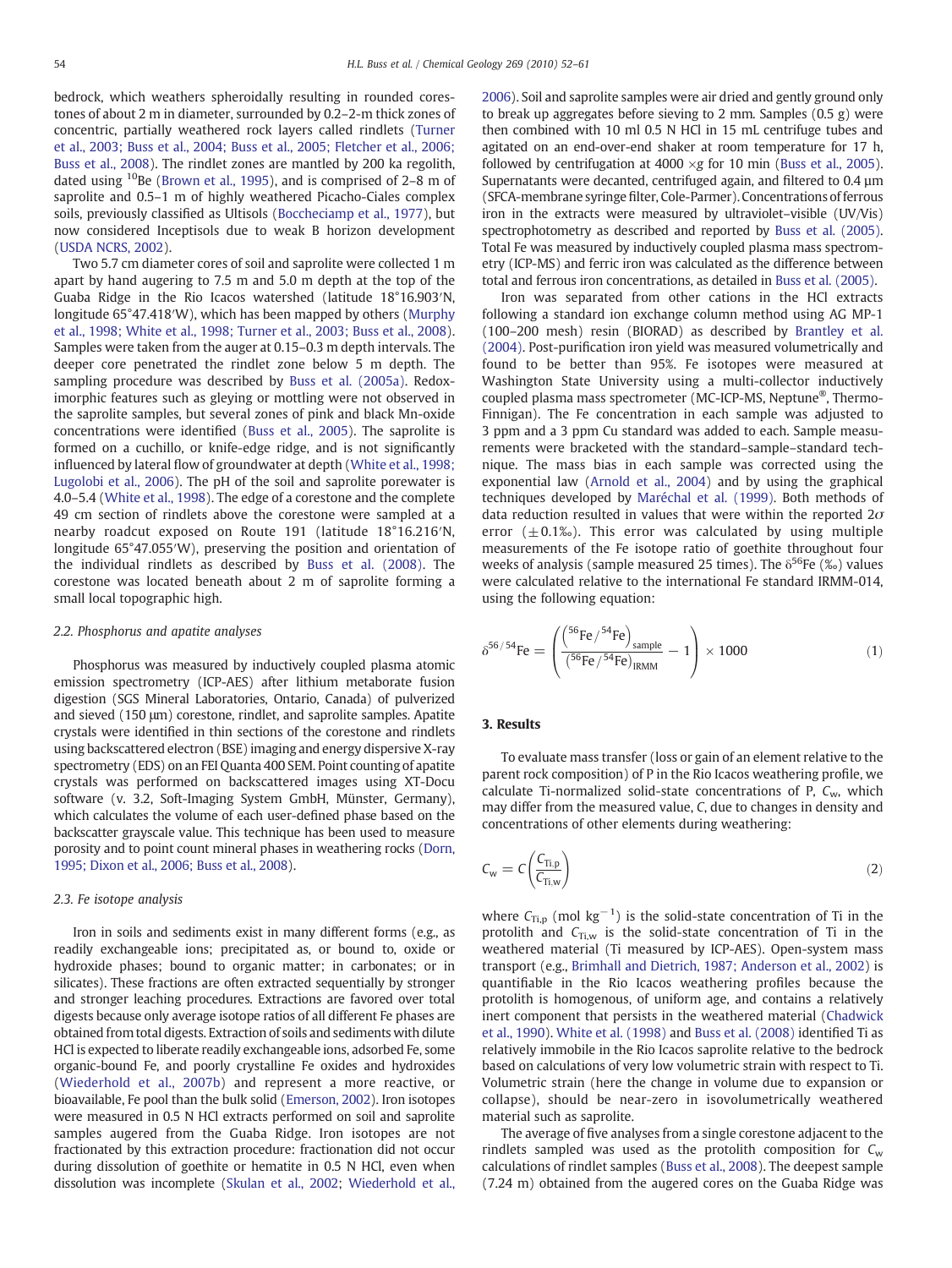bedrock, which weathers spheroidally resulting in rounded corestones of about 2 m in diameter, surrounded by 0.2–2-m thick zones of concentric, partially weathered rock layers called rindlets [\(Turner](#page-8-0) [et al., 2003; Buss et al., 2004; Buss et al., 2005; Fletcher et al., 2006;](#page-8-0) [Buss et al., 2008\)](#page-8-0). The rindlet zones are mantled by 200 ka regolith, dated using <sup>10</sup>Be [\(Brown et al., 1995](#page-8-0)), and is comprised of 2-8 m of saprolite and 0.5–1 m of highly weathered Picacho-Ciales complex soils, previously classified as Ultisols ([Boccheciamp et al., 1977\)](#page-7-0), but now considered Inceptisols due to weak B horizon development [\(USDA NCRS, 2002](#page-9-0)).

Two 5.7 cm diameter cores of soil and saprolite were collected 1 m apart by hand augering to 7.5 m and 5.0 m depth at the top of the Guaba Ridge in the Rio Icacos watershed (latitude 18°16.903′N, longitude 65°47.418′W), which has been mapped by others ([Murphy](#page-8-0) [et al., 1998; White et al., 1998; Turner et al., 2003; Buss et al., 2008](#page-8-0)). Samples were taken from the auger at 0.15–0.3 m depth intervals. The deeper core penetrated the rindlet zone below 5 m depth. The sampling procedure was described by [Buss et al. \(2005a\)](#page-8-0). Redoximorphic features such as gleying or mottling were not observed in the saprolite samples, but several zones of pink and black Mn-oxide concentrations were identified [\(Buss et al., 2005\)](#page-8-0). The saprolite is formed on a cuchillo, or knife-edge ridge, and is not significantly influenced by lateral flow of groundwater at depth [\(White et al., 1998;](#page-9-0) [Lugolobi et al., 2006\)](#page-9-0). The pH of the soil and saprolite porewater is 4.0–5.4 ([White et al., 1998\)](#page-9-0). The edge of a corestone and the complete 49 cm section of rindlets above the corestone were sampled at a nearby roadcut exposed on Route 191 (latitude 18°16.216′N, longitude 65°47.055′W), preserving the position and orientation of the individual rindlets as described by [Buss et al. \(2008\).](#page-8-0) The corestone was located beneath about 2 m of saprolite forming a small local topographic high.

#### 2.2. Phosphorus and apatite analyses

Phosphorus was measured by inductively coupled plasma atomic emission spectrometry (ICP-AES) after lithium metaborate fusion digestion (SGS Mineral Laboratories, Ontario, Canada) of pulverized and sieved (150 μm) corestone, rindlet, and saprolite samples. Apatite crystals were identified in thin sections of the corestone and rindlets using backscattered electron (BSE) imaging and energy dispersive X-ray spectrometry (EDS) on an FEI Quanta 400 SEM. Point counting of apatite crystals was performed on backscattered images using XT-Docu software (v. 3.2, Soft-Imaging System GmbH, Münster, Germany), which calculates the volume of each user-defined phase based on the backscatter grayscale value. This technique has been used to measure porosity and to point count mineral phases in weathering rocks [\(Dorn,](#page-8-0) [1995; Dixon et al., 2006; Buss et al., 2008\)](#page-8-0).

### 2.3. Fe isotope analysis

Iron in soils and sediments exist in many different forms (e.g., as readily exchangeable ions; precipitated as, or bound to, oxide or hydroxide phases; bound to organic matter; in carbonates; or in silicates). These fractions are often extracted sequentially by stronger and stronger leaching procedures. Extractions are favored over total digests because only average isotope ratios of all different Fe phases are obtained from total digests. Extraction of soils and sediments with dilute HCl is expected to liberate readily exchangeable ions, adsorbed Fe, some organic-bound Fe, and poorly crystalline Fe oxides and hydroxides [\(Wiederhold et al., 2007b\)](#page-9-0) and represent a more reactive, or bioavailable, Fe pool than the bulk solid [\(Emerson, 2002\)](#page-8-0). Iron isotopes were measured in 0.5 N HCl extracts performed on soil and saprolite samples augered from the Guaba Ridge. Iron isotopes are not fractionated by this extraction procedure: fractionation did not occur during dissolution of goethite or hematite in 0.5 N HCl, even when dissolution was incomplete ([Skulan et al., 2002;](#page-8-0) [Wiederhold et al.,](#page-9-0) [2006\)](#page-9-0). Soil and saprolite samples were air dried and gently ground only to break up aggregates before sieving to 2 mm. Samples (0.5 g) were then combined with 10 ml 0.5 N HCl in 15 mL centrifuge tubes and agitated on an end-over-end shaker at room temperature for 17 h, followed by centrifugation at 4000  $\times$ g for 10 min [\(Buss et al., 2005\)](#page-8-0). Supernatants were decanted, centrifuged again, and filtered to 0.4 µm (SFCA-membrane syringe filter, Cole-Parmer). Concentrations of ferrous iron in the extracts were measured by ultraviolet–visible (UV/Vis) spectrophotometry as described and reported by [Buss et al. \(2005\).](#page-8-0) Total Fe was measured by inductively coupled plasma mass spectrometry (ICP-MS) and ferric iron was calculated as the difference between total and ferrous iron concentrations, as detailed in [Buss et al. \(2005\)](#page-8-0).

Iron was separated from other cations in the HCl extracts following a standard ion exchange column method using AG MP-1 (100–200 mesh) resin (BIORAD) as described by [Brantley et al.](#page-8-0) [\(2004\).](#page-8-0) Post-purification iron yield was measured volumetrically and found to be better than 95%. Fe isotopes were measured at Washington State University using a multi-collector inductively coupled plasma mass spectrometer (MC-ICP-MS, Neptune®, Thermo-Finnigan). The Fe concentration in each sample was adjusted to 3 ppm and a 3 ppm Cu standard was added to each. Sample measurements were bracketed with the standard–sample–standard technique. The mass bias in each sample was corrected using the exponential law ([Arnold et al., 2004\)](#page-7-0) and by using the graphical techniques developed by [Maréchal et al. \(1999\)](#page-8-0). Both methods of data reduction resulted in values that were within the reported  $2\sigma$ error  $(\pm 0.1\%)$ . This error was calculated by using multiple measurements of the Fe isotope ratio of goethite throughout four weeks of analysis (sample measured 25 times). The  $\delta^{56}$ Fe (‰) values were calculated relative to the international Fe standard IRMM-014, using the following equation:

$$
\delta^{56/54} \text{Fe} = \left( \frac{\left( \frac{56}{\text{Fe}} / \frac{54}{\text{Fe}} \right)_{\text{sample}}}{\left( \frac{56}{\text{Fe}} / \frac{54}{\text{Fe}} \right)_{\text{IRMM}}} - 1 \right) \times 1000 \tag{1}
$$

#### 3. Results

To evaluate mass transfer (loss or gain of an element relative to the parent rock composition) of P in the Rio Icacos weathering profile, we calculate Ti-normalized solid-state concentrations of P,  $C<sub>w</sub>$ , which may differ from the measured value, C, due to changes in density and concentrations of other elements during weathering:

$$
C_{\rm w} = C \left( \frac{C_{\rm Ti,p}}{C_{\rm Ti,w}} \right) \tag{2}
$$

where  $C_{Ti,p}$  (mol kg<sup>-1</sup>) is the solid-state concentration of Ti in the protolith and  $C_{Ti,w}$  is the solid-state concentration of Ti in the weathered material (Ti measured by ICP-AES). Open-system mass transport (e.g., [Brimhall and Dietrich, 1987; Anderson et al., 2002](#page-8-0)) is quantifiable in the Rio Icacos weathering profiles because the protolith is homogenous, of uniform age, and contains a relatively inert component that persists in the weathered material [\(Chadwick](#page-8-0) [et al., 1990\)](#page-8-0). [White et al. \(1998\)](#page-9-0) and [Buss et al. \(2008\)](#page-8-0) identified Ti as relatively immobile in the Rio Icacos saprolite relative to the bedrock based on calculations of very low volumetric strain with respect to Ti. Volumetric strain (here the change in volume due to expansion or collapse), should be near-zero in isovolumetrically weathered material such as saprolite.

The average of five analyses from a single corestone adjacent to the rindlets sampled was used as the protolith composition for  $C_w$ calculations of rindlet samples ([Buss et al., 2008](#page-8-0)). The deepest sample (7.24 m) obtained from the augered cores on the Guaba Ridge was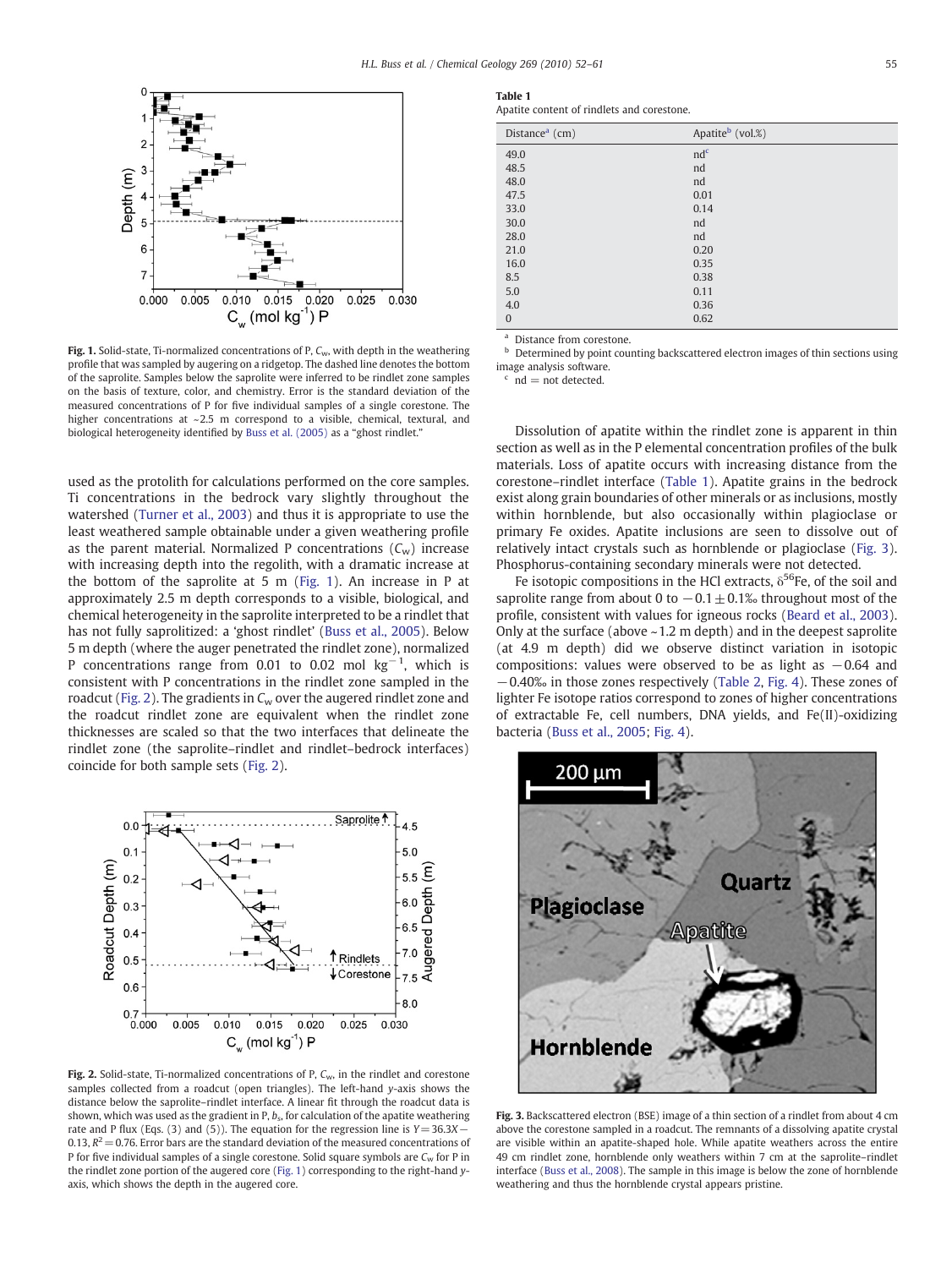<span id="page-3-0"></span>

Fig. 1. Solid-state, Ti-normalized concentrations of P,  $C_w$ , with depth in the weathering profile that was sampled by augering on a ridgetop. The dashed line denotes the bottom of the saprolite. Samples below the saprolite were inferred to be rindlet zone samples on the basis of texture, color, and chemistry. Error is the standard deviation of the measured concentrations of P for five individual samples of a single corestone. The higher concentrations at ~2.5 m correspond to a visible, chemical, textural, and biological heterogeneity identified by [Buss et al. \(2005\)](#page-8-0) as a "ghost rindlet."

used as the protolith for calculations performed on the core samples. Ti concentrations in the bedrock vary slightly throughout the watershed ([Turner et al., 2003\)](#page-8-0) and thus it is appropriate to use the least weathered sample obtainable under a given weathering profile as the parent material. Normalized P concentrations  $(C_w)$  increase with increasing depth into the regolith, with a dramatic increase at the bottom of the saprolite at 5 m (Fig. 1). An increase in P at approximately 2.5 m depth corresponds to a visible, biological, and chemical heterogeneity in the saprolite interpreted to be a rindlet that has not fully saprolitized: a 'ghost rindlet' [\(Buss et al., 2005](#page-8-0)). Below 5 m depth (where the auger penetrated the rindlet zone), normalized P concentrations range from 0.01 to 0.02 mol kg<sup>-1</sup>, which is consistent with P concentrations in the rindlet zone sampled in the roadcut (Fig. 2). The gradients in  $C_w$  over the augered rindlet zone and the roadcut rindlet zone are equivalent when the rindlet zone thicknesses are scaled so that the two interfaces that delineate the rindlet zone (the saprolite–rindlet and rindlet–bedrock interfaces) coincide for both sample sets (Fig. 2).



Fig. 2. Solid-state, Ti-normalized concentrations of P,  $C<sub>w</sub>$ , in the rindlet and corestone samples collected from a roadcut (open triangles). The left-hand y-axis shows the distance below the saprolite–rindlet interface. A linear fit through the roadcut data is shown, which was used as the gradient in P,  $b_s$ , for calculation of the apatite weathering rate and P flux (Eqs. (3) and (5)). The equation for the regression line is  $Y= 36.3X-$ 0.13,  $R^2$  = 0.76. Error bars are the standard deviation of the measured concentrations of P for five individual samples of a single corestone. Solid square symbols are  $C_w$  for P in the rindlet zone portion of the augered core (Fig. 1) corresponding to the right-hand yaxis, which shows the depth in the augered core.

| ì<br>ı<br>. . |  |
|---------------|--|
|---------------|--|

Apatite content of rindlets and corestone.

| Distance <sup>a</sup> (cm) | Apatite <sup>b</sup> (vol.%) |
|----------------------------|------------------------------|
| 49.0                       | nd <sup>c</sup>              |
| 48.5                       | nd                           |
| 48.0                       | nd                           |
| 47.5                       | 0.01                         |
| 33.0                       | 0.14                         |
| 30.0                       | nd                           |
| 28.0                       | nd                           |
| 21.0                       | 0.20                         |
| 16.0                       | 0.35                         |
| 8.5                        | 0.38                         |
| 5.0                        | 0.11                         |
| 4.0                        | 0.36                         |
| $\mathbf{0}$               | 0.62                         |

 $a$  Distance from corestone.

<sup>b</sup> Determined by point counting backscattered electron images of thin sections using image analysis software.

 $nd = not detected.$ 

Dissolution of apatite within the rindlet zone is apparent in thin section as well as in the P elemental concentration profiles of the bulk materials. Loss of apatite occurs with increasing distance from the corestone–rindlet interface (Table 1). Apatite grains in the bedrock exist along grain boundaries of other minerals or as inclusions, mostly within hornblende, but also occasionally within plagioclase or primary Fe oxides. Apatite inclusions are seen to dissolve out of relatively intact crystals such as hornblende or plagioclase (Fig. 3). Phosphorus-containing secondary minerals were not detected.

Fe isotopic compositions in the HCl extracts,  $\delta^{56}$ Fe, of the soil and saprolite range from about 0 to  $-0.1 \pm 0.1$ % throughout most of the profile, consistent with values for igneous rocks [\(Beard et al., 2003](#page-7-0)). Only at the surface (above  $\sim$  1.2 m depth) and in the deepest saprolite (at 4.9 m depth) did we observe distinct variation in isotopic compositions: values were observed to be as light as  $-0.64$  and −0.40‰ in those zones respectively ([Table 2](#page-4-0), [Fig. 4\)](#page-4-0). These zones of lighter Fe isotope ratios correspond to zones of higher concentrations of extractable Fe, cell numbers, DNA yields, and Fe(II)-oxidizing bacteria [\(Buss et al., 2005](#page-8-0); [Fig. 4\)](#page-4-0).



Fig. 3. Backscattered electron (BSE) image of a thin section of a rindlet from about 4 cm above the corestone sampled in a roadcut. The remnants of a dissolving apatite crystal are visible within an apatite-shaped hole. While apatite weathers across the entire 49 cm rindlet zone, hornblende only weathers within 7 cm at the saprolite–rindlet interface ([Buss et al., 2008](#page-8-0)). The sample in this image is below the zone of hornblende weathering and thus the hornblende crystal appears pristine.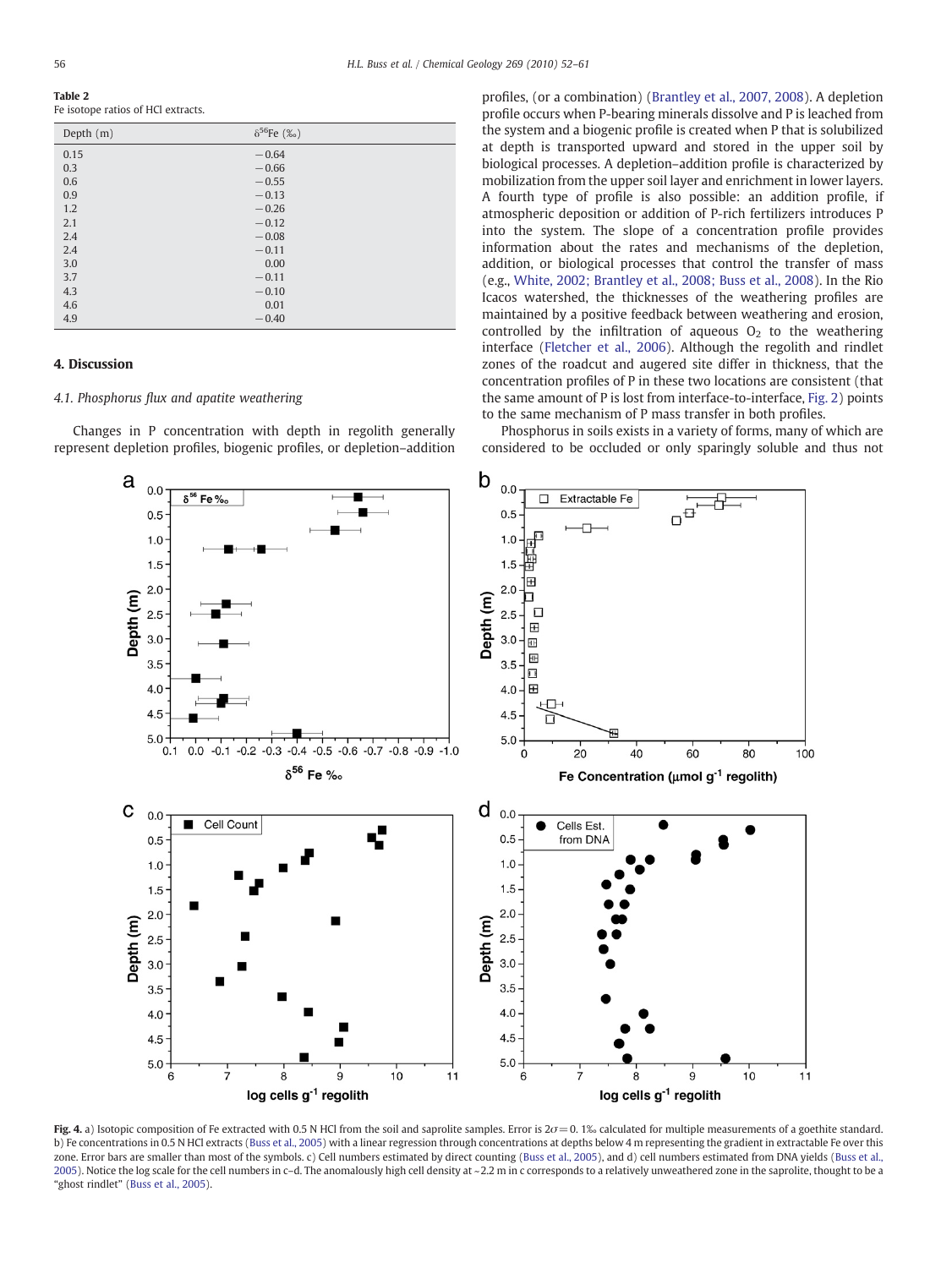<span id="page-4-0"></span>Table 2 Fe isotope ratios of HCl extracts.

| Depth $(m)$ | $\delta^{56}$ Fe (%o) |
|-------------|-----------------------|
| 0.15        | $-0.64$               |
| 0.3         | $-0.66$               |
| 0.6         | $-0.55$               |
| 0.9         | $-0.13$               |
| 1.2         | $-0.26$               |
| 2.1         | $-0.12$               |
| 2.4         | $-0.08$               |
| 2.4         | $-0.11$               |
| 3.0         | 0.00                  |
| 3.7         | $-0.11$               |
| 4.3         | $-0.10$               |
| 4.6         | 0.01                  |
| 4.9         | $-0.40$               |

#### 4. Discussion

a

 $0.0$ 

 $0.5$ 

 $1.0$ 

 $1.5$ 

 $2.0$ 

### 4.1. Phosphorus flux and apatite weathering

 $\delta^{56}$  Fe%

Changes in P concentration with depth in regolith generally represent depletion profiles, biogenic profiles, or depletion–addition profiles, (or a combination) [\(Brantley et al., 2007, 2008](#page-8-0)). A depletion profile occurs when P-bearing minerals dissolve and P is leached from the system and a biogenic profile is created when P that is solubilized at depth is transported upward and stored in the upper soil by biological processes. A depletion–addition profile is characterized by mobilization from the upper soil layer and enrichment in lower layers. A fourth type of profile is also possible: an addition profile, if atmospheric deposition or addition of P-rich fertilizers introduces P into the system. The slope of a concentration profile provides information about the rates and mechanisms of the depletion, addition, or biological processes that control the transfer of mass (e.g., [White, 2002; Brantley et al., 2008; Buss et al., 2008](#page-9-0)). In the Rio Icacos watershed, the thicknesses of the weathering profiles are maintained by a positive feedback between weathering and erosion, controlled by the infiltration of aqueous  $O<sub>2</sub>$  to the weathering interface ([Fletcher et al., 2006\)](#page-8-0). Although the regolith and rindlet zones of the roadcut and augered site differ in thickness, that the concentration profiles of P in these two locations are consistent (that the same amount of P is lost from interface-to-interface, [Fig. 2\)](#page-3-0) points to the same mechanism of P mass transfer in both profiles.

Phosphorus in soils exists in a variety of forms, many of which are considered to be occluded or only sparingly soluble and thus not

 $\sigma^{\ominus}$ 



b

 $0.0$ 

 $0.5$ 

 $1.0$ 

 $1.5$  $2.0$   $\Box$ 

Г

Extractable Fe

b) Fe concentrations in 0.5 N HCl extracts [\(Buss et al., 2005\)](#page-8-0) with a linear regression through concentrations at depths below 4 m representing the gradient in extractable Fe over this zone. Error bars are smaller than most of the symbols. c) Cell numbers estimated by direct counting [\(Buss et al., 2005\)](#page-8-0), and d) cell numbers estimated from DNA yields ([Buss et al.,](#page-8-0) [2005](#page-8-0)). Notice the log scale for the cell numbers in c–d. The anomalously high cell density at ~2.2 m in c corresponds to a relatively unweathered zone in the saprolite, thought to be a "ghost rindlet" [\(Buss et al., 2005\)](#page-8-0).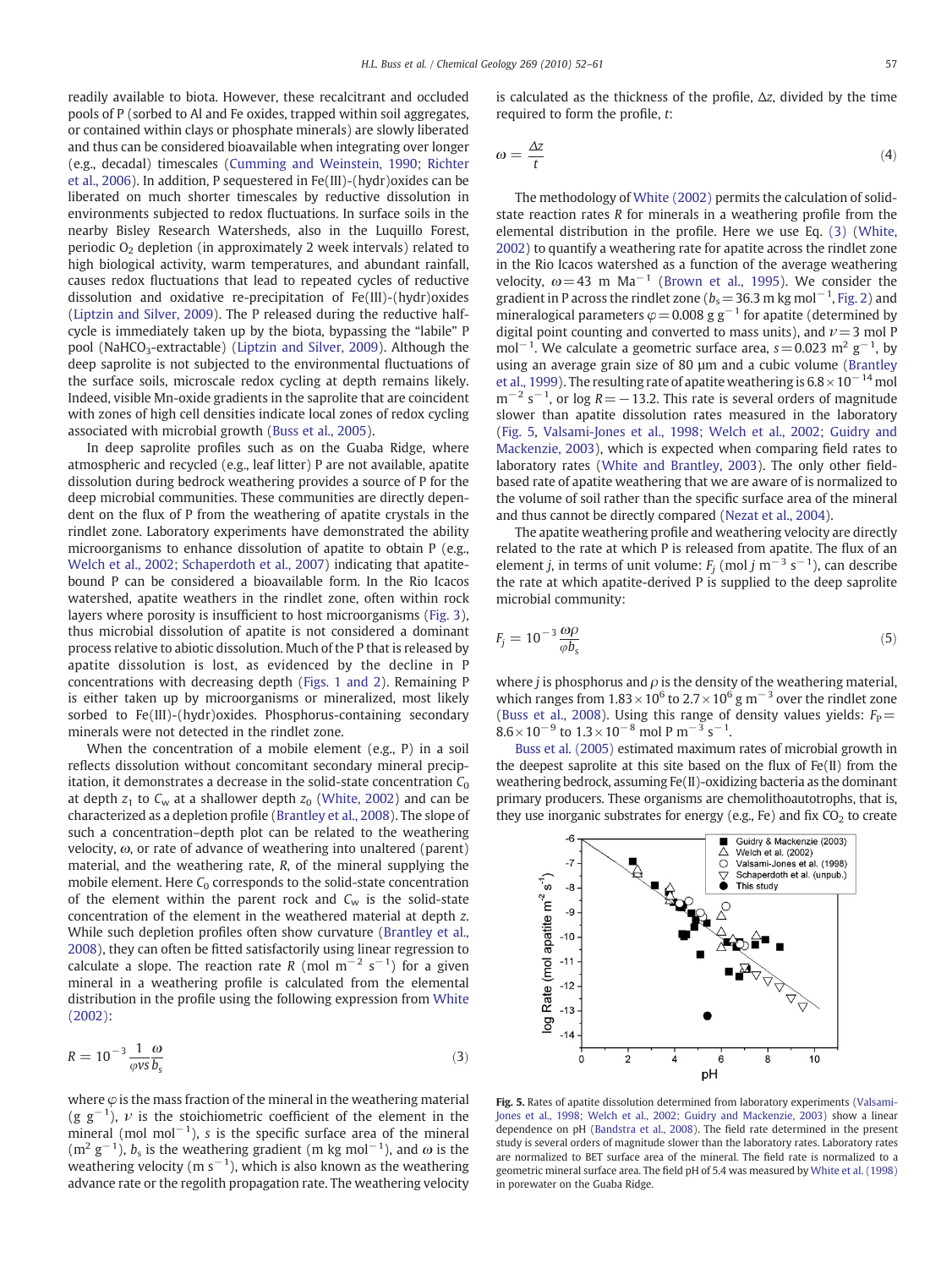readily available to biota. However, these recalcitrant and occluded pools of P (sorbed to Al and Fe oxides, trapped within soil aggregates, or contained within clays or phosphate minerals) are slowly liberated and thus can be considered bioavailable when integrating over longer (e.g., decadal) timescales ([Cumming and Weinstein, 1990; Richter](#page-8-0) [et al., 2006](#page-8-0)). In addition, P sequestered in Fe(III)-(hydr)oxides can be liberated on much shorter timescales by reductive dissolution in environments subjected to redox fluctuations. In surface soils in the nearby Bisley Research Watersheds, also in the Luquillo Forest, periodic  $O<sub>2</sub>$  depletion (in approximately 2 week intervals) related to high biological activity, warm temperatures, and abundant rainfall, causes redox fluctuations that lead to repeated cycles of reductive dissolution and oxidative re-precipitation of Fe(III)-(hydr)oxides [\(Liptzin and Silver, 2009](#page-8-0)). The P released during the reductive halfcycle is immediately taken up by the biota, bypassing the "labile" P pool (NaHCO<sub>3</sub>-extractable) [\(Liptzin and Silver, 2009\)](#page-8-0). Although the deep saprolite is not subjected to the environmental fluctuations of the surface soils, microscale redox cycling at depth remains likely. Indeed, visible Mn-oxide gradients in the saprolite that are coincident with zones of high cell densities indicate local zones of redox cycling associated with microbial growth ([Buss et al., 2005](#page-8-0)).

In deep saprolite profiles such as on the Guaba Ridge, where atmospheric and recycled (e.g., leaf litter) P are not available, apatite dissolution during bedrock weathering provides a source of P for the deep microbial communities. These communities are directly dependent on the flux of P from the weathering of apatite crystals in the rindlet zone. Laboratory experiments have demonstrated the ability microorganisms to enhance dissolution of apatite to obtain P (e.g., [Welch et al., 2002; Schaperdoth et al., 2007](#page-9-0)) indicating that apatitebound P can be considered a bioavailable form. In the Rio Icacos watershed, apatite weathers in the rindlet zone, often within rock layers where porosity is insufficient to host microorganisms ([Fig. 3](#page-3-0)), thus microbial dissolution of apatite is not considered a dominant process relative to abiotic dissolution. Much of the P that is released by apatite dissolution is lost, as evidenced by the decline in P concentrations with decreasing depth ([Figs. 1 and 2](#page-3-0)). Remaining P is either taken up by microorganisms or mineralized, most likely sorbed to Fe(III)-(hydr)oxides. Phosphorus-containing secondary minerals were not detected in the rindlet zone.

When the concentration of a mobile element (e.g., P) in a soil reflects dissolution without concomitant secondary mineral precipitation, it demonstrates a decrease in the solid-state concentration  $C_0$ at depth  $z_1$  to  $C_w$  at a shallower depth  $z_0$  [\(White, 2002\)](#page-9-0) and can be characterized as a depletion profile [\(Brantley et al., 2008\)](#page-8-0). The slope of such a concentration–depth plot can be related to the weathering velocity,  $ω$ , or rate of advance of weathering into unaltered (parent) material, and the weathering rate, R, of the mineral supplying the mobile element. Here  $C_0$  corresponds to the solid-state concentration of the element within the parent rock and  $C_w$  is the solid-state concentration of the element in the weathered material at depth z. While such depletion profiles often show curvature [\(Brantley et al.,](#page-8-0) [2008\)](#page-8-0), they can often be fitted satisfactorily using linear regression to calculate a slope. The reaction rate R (mol  $m^{-2}$  s<sup>-1</sup>) for a given mineral in a weathering profile is calculated from the elemental distribution in the profile using the following expression from [White](#page-9-0) [\(2002\):](#page-9-0)

$$
R = 10^{-3} \frac{1}{\varphi v s} \frac{\omega}{b_s} \tag{3}
$$

where  $\varphi$  is the mass fraction of the mineral in the weathering material (g  $g^{-1}$ ),  $\nu$  is the stoichiometric coefficient of the element in the mineral (mol mol<sup>-1</sup>), s is the specific surface area of the mineral  $(m<sup>2</sup> g<sup>-1</sup>)$ ,  $b<sub>s</sub>$  is the weathering gradient (m kg mol<sup>-1</sup>), and  $\omega$  is the weathering velocity (m s<sup>-1</sup>), which is also known as the weathering advance rate or the regolith propagation rate. The weathering velocity is calculated as the thickness of the profile, Δz, divided by the time required to form the profile, t:

$$
\omega = \frac{\Delta z}{t} \tag{4}
$$

The methodology of [White \(2002\)](#page-9-0) permits the calculation of solidstate reaction rates  $R$  for minerals in a weathering profile from the elemental distribution in the profile. Here we use Eq. (3) [\(White,](#page-9-0) [2002\)](#page-9-0) to quantify a weathering rate for apatite across the rindlet zone in the Rio Icacos watershed as a function of the average weathering velocity,  $\omega$  = 43 m Ma<sup>-1</sup> ([Brown et al., 1995](#page-8-0)). We consider the gradient in P across the rindlet zone ( $b_{\rm s}\!=\!36.3$  m kg mol $^{-1}$ , [Fig. 2\)](#page-3-0) and mineralogical parameters  $\varphi$  = 0.008 g g<sup>-1</sup> for apatite (determined by digital point counting and converted to mass units), and  $\nu$  = 3 mol P mol<sup>−1</sup>. We calculate a geometric surface area,  $s = 0.023$  m<sup>2</sup> g<sup>-1</sup>, by using an average grain size of 80 µm and a cubic volume [\(Brantley](#page-7-0) [et al., 1999](#page-7-0)). The resulting rate of apatite weathering is  $6.8 \times 10^{-14}$  mol  $\rm m^{-2}$  s<sup>-1</sup>, or log R = −13.2. This rate is several orders of magnitude slower than apatite dissolution rates measured in the laboratory (Fig. 5, [Valsami-Jones et al., 1998; Welch et al., 2002; Guidry and](#page-9-0) [Mackenzie, 2003](#page-9-0)), which is expected when comparing field rates to laboratory rates ([White and Brantley, 2003\)](#page-9-0). The only other fieldbased rate of apatite weathering that we are aware of is normalized to the volume of soil rather than the specific surface area of the mineral and thus cannot be directly compared ([Nezat et al., 2004](#page-8-0)).

The apatite weathering profile and weathering velocity are directly related to the rate at which P is released from apatite. The flux of an element j, in terms of unit volume:  $F_j$  (mol j m<sup>-3</sup> s<sup>-1</sup>), can describe the rate at which apatite-derived P is supplied to the deep saprolite microbial community:

$$
F_j = 10^{-3} \frac{\omega \rho}{\phi b_s} \tag{5}
$$

where *j* is phosphorus and  $\rho$  is the density of the weathering material, which ranges from  $1.83 \times 10^6$  to  $2.7 \times 10^6$  g m<sup>-3</sup> over the rindlet zone [\(Buss et al., 2008](#page-8-0)). Using this range of density values yields:  $F_P=$  $8.6 \times 10^{-9}$  to  $1.3 \times 10^{-8}$  mol P m<sup>-3</sup> s<sup>-1</sup>.

[Buss et al. \(2005\)](#page-8-0) estimated maximum rates of microbial growth in the deepest saprolite at this site based on the flux of Fe(II) from the weathering bedrock, assuming Fe(II)-oxidizing bacteria as the dominant primary producers. These organisms are chemolithoautotrophs, that is, they use inorganic substrates for energy (e.g., Fe) and fix  $CO<sub>2</sub>$  to create



Fig. 5. Rates of apatite dissolution determined from laboratory experiments [\(Valsami-](#page-9-0)[Jones et al., 1998; Welch et al., 2002; Guidry and Mackenzie, 2003](#page-9-0)) show a linear dependence on pH [\(Bandstra et al., 2008\)](#page-7-0). The field rate determined in the present study is several orders of magnitude slower than the laboratory rates. Laboratory rates are normalized to BET surface area of the mineral. The field rate is normalized to a geometric mineral surface area. The field pH of 5.4 was measured by [White et al. \(1998\)](#page-9-0) in porewater on the Guaba Ridge.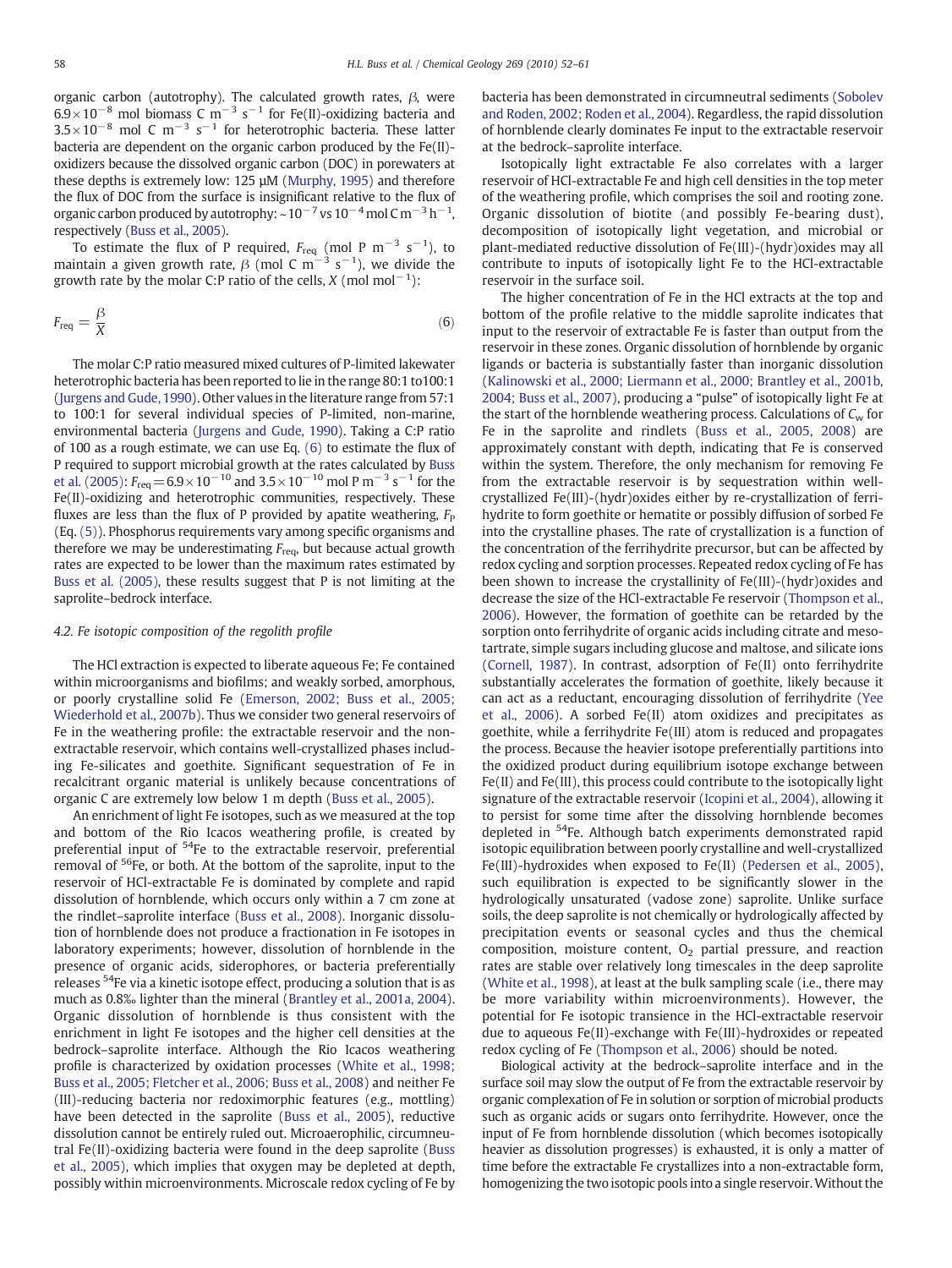organic carbon (autotrophy). The calculated growth rates,  $\beta$ , were  $6.9\times10^{-8}$  mol biomass C m<sup>-3</sup> s<sup>-1</sup> for Fe(II)-oxidizing bacteria and  $3.5\times10^{-8}$  mol C m<sup>-3</sup> s<sup>-1</sup> for heterotrophic bacteria. These latter bacteria are dependent on the organic carbon produced by the Fe(II) oxidizers because the dissolved organic carbon (DOC) in porewaters at these depths is extremely low: 125 µM [\(Murphy, 1995](#page-8-0)) and therefore the flux of DOC from the surface is insignificant relative to the flux of organic carbon produced by autotrophy: ~10<sup>-7</sup> vs 10<sup>-4</sup> mol C m<sup>-3</sup> h<sup>-1</sup>, respectively ([Buss et al., 2005](#page-8-0)).

To estimate the flux of P required,  $F_{\text{req}}$  (mol P  $\text{m}^{-3}$  s<sup>-1</sup>), to maintain a given growth rate,  $\beta$  (mol C m<sup>-3</sup> s<sup>-1</sup>), we divide the growth rate by the molar C:P ratio of the cells,  $X$  (mol mol<sup>-1</sup>):

$$
F_{\text{req}} = \frac{\beta}{X} \tag{6}
$$

The molar C:P ratio measured mixed cultures of P-limited lakewater heterotrophic bacteria has been reported to lie in the range 80:1 to100:1 [\(Jurgens and Gude, 1990\)](#page-8-0). Other values in the literature range from 57:1 to 100:1 for several individual species of P-limited, non-marine, environmental bacteria [\(Jurgens and Gude, 1990](#page-8-0)). Taking a C:P ratio of 100 as a rough estimate, we can use Eq. (6) to estimate the flux of P required to support microbial growth at the rates calculated by [Buss](#page-8-0) [et al. \(2005\)](#page-8-0):  $F_{\rm{req}}$  = 6.9 $\times$ 10 $^{-10}$  and 3.5 $\times$ 10 $^{-10}$  mol P m $^{-3}$  s $^{-1}$  for the Fe(II)-oxidizing and heterotrophic communities, respectively. These fluxes are less than the flux of P provided by apatite weathering,  $F_P$ (Eq. (5)). Phosphorus requirements vary among specific organisms and therefore we may be underestimating  $F_{\text{req}}$ , but because actual growth rates are expected to be lower than the maximum rates estimated by [Buss et al. \(2005\),](#page-8-0) these results suggest that P is not limiting at the saprolite–bedrock interface.

#### 4.2. Fe isotopic composition of the regolith profile

The HCl extraction is expected to liberate aqueous Fe; Fe contained within microorganisms and biofilms; and weakly sorbed, amorphous, or poorly crystalline solid Fe ([Emerson, 2002; Buss et al., 2005;](#page-8-0) [Wiederhold et al., 2007b\)](#page-8-0). Thus we consider two general reservoirs of Fe in the weathering profile: the extractable reservoir and the nonextractable reservoir, which contains well-crystallized phases including Fe-silicates and goethite. Significant sequestration of Fe in recalcitrant organic material is unlikely because concentrations of organic C are extremely low below 1 m depth ([Buss et al., 2005](#page-8-0)).

An enrichment of light Fe isotopes, such as we measured at the top and bottom of the Rio Icacos weathering profile, is created by preferential input of 54Fe to the extractable reservoir, preferential removal of <sup>56</sup>Fe, or both. At the bottom of the saprolite, input to the reservoir of HCl-extractable Fe is dominated by complete and rapid dissolution of hornblende, which occurs only within a 7 cm zone at the rindlet–saprolite interface [\(Buss et al., 2008\)](#page-8-0). Inorganic dissolution of hornblende does not produce a fractionation in Fe isotopes in laboratory experiments; however, dissolution of hornblende in the presence of organic acids, siderophores, or bacteria preferentially releases <sup>54</sup>Fe via a kinetic isotope effect, producing a solution that is as much as 0.8‰ lighter than the mineral ([Brantley et al., 2001a, 2004](#page-8-0)). Organic dissolution of hornblende is thus consistent with the enrichment in light Fe isotopes and the higher cell densities at the bedrock–saprolite interface. Although the Rio Icacos weathering profile is characterized by oxidation processes [\(White et al., 1998;](#page-9-0) [Buss et al., 2005; Fletcher et al., 2006; Buss et al., 2008\)](#page-9-0) and neither Fe (III)-reducing bacteria nor redoximorphic features (e.g., mottling) have been detected in the saprolite ([Buss et al., 2005](#page-8-0)), reductive dissolution cannot be entirely ruled out. Microaerophilic, circumneutral Fe(II)-oxidizing bacteria were found in the deep saprolite [\(Buss](#page-8-0) [et al., 2005](#page-8-0)), which implies that oxygen may be depleted at depth, possibly within microenvironments. Microscale redox cycling of Fe by bacteria has been demonstrated in circumneutral sediments [\(Sobolev](#page-8-0) [and Roden, 2002; Roden et al., 2004](#page-8-0)). Regardless, the rapid dissolution of hornblende clearly dominates Fe input to the extractable reservoir at the bedrock–saprolite interface.

Isotopically light extractable Fe also correlates with a larger reservoir of HCl-extractable Fe and high cell densities in the top meter of the weathering profile, which comprises the soil and rooting zone. Organic dissolution of biotite (and possibly Fe-bearing dust), decomposition of isotopically light vegetation, and microbial or plant-mediated reductive dissolution of Fe(III)-(hydr)oxides may all contribute to inputs of isotopically light Fe to the HCl-extractable reservoir in the surface soil.

The higher concentration of Fe in the HCl extracts at the top and bottom of the profile relative to the middle saprolite indicates that input to the reservoir of extractable Fe is faster than output from the reservoir in these zones. Organic dissolution of hornblende by organic ligands or bacteria is substantially faster than inorganic dissolution [\(Kalinowski et al., 2000; Liermann et al., 2000; Brantley et al., 2001b,](#page-8-0) [2004; Buss et al., 2007\)](#page-8-0), producing a "pulse" of isotopically light Fe at the start of the hornblende weathering process. Calculations of  $C_w$  for Fe in the saprolite and rindlets ([Buss et al., 2005, 2008](#page-8-0)) are approximately constant with depth, indicating that Fe is conserved within the system. Therefore, the only mechanism for removing Fe from the extractable reservoir is by sequestration within wellcrystallized Fe(III)-(hydr)oxides either by re-crystallization of ferrihydrite to form goethite or hematite or possibly diffusion of sorbed Fe into the crystalline phases. The rate of crystallization is a function of the concentration of the ferrihydrite precursor, but can be affected by redox cycling and sorption processes. Repeated redox cycling of Fe has been shown to increase the crystallinity of Fe(III)-(hydr)oxides and decrease the size of the HCl-extractable Fe reservoir ([Thompson et al.,](#page-8-0) [2006\)](#page-8-0). However, the formation of goethite can be retarded by the sorption onto ferrihydrite of organic acids including citrate and mesotartrate, simple sugars including glucose and maltose, and silicate ions [\(Cornell, 1987](#page-8-0)). In contrast, adsorption of Fe(II) onto ferrihydrite substantially accelerates the formation of goethite, likely because it can act as a reductant, encouraging dissolution of ferrihydrite ([Yee](#page-9-0) [et al., 2006\)](#page-9-0). A sorbed Fe(II) atom oxidizes and precipitates as goethite, while a ferrihydrite Fe(III) atom is reduced and propagates the process. Because the heavier isotope preferentially partitions into the oxidized product during equilibrium isotope exchange between Fe(II) and Fe(III), this process could contribute to the isotopically light signature of the extractable reservoir ([Icopini et al., 2004\)](#page-8-0), allowing it to persist for some time after the dissolving hornblende becomes depleted in <sup>54</sup>Fe. Although batch experiments demonstrated rapid isotopic equilibration between poorly crystalline and well-crystallized Fe(III)-hydroxides when exposed to Fe(II) ([Pedersen et al., 2005](#page-8-0)), such equilibration is expected to be significantly slower in the hydrologically unsaturated (vadose zone) saprolite. Unlike surface soils, the deep saprolite is not chemically or hydrologically affected by precipitation events or seasonal cycles and thus the chemical composition, moisture content,  $O<sub>2</sub>$  partial pressure, and reaction rates are stable over relatively long timescales in the deep saprolite [\(White et al., 1998\)](#page-9-0), at least at the bulk sampling scale (i.e., there may be more variability within microenvironments). However, the potential for Fe isotopic transience in the HCl-extractable reservoir due to aqueous Fe(II)-exchange with Fe(III)-hydroxides or repeated redox cycling of Fe [\(Thompson et al., 2006](#page-8-0)) should be noted.

Biological activity at the bedrock–saprolite interface and in the surface soil may slow the output of Fe from the extractable reservoir by organic complexation of Fe in solution or sorption of microbial products such as organic acids or sugars onto ferrihydrite. However, once the input of Fe from hornblende dissolution (which becomes isotopically heavier as dissolution progresses) is exhausted, it is only a matter of time before the extractable Fe crystallizes into a non-extractable form, homogenizing the two isotopic pools into a single reservoir.Without the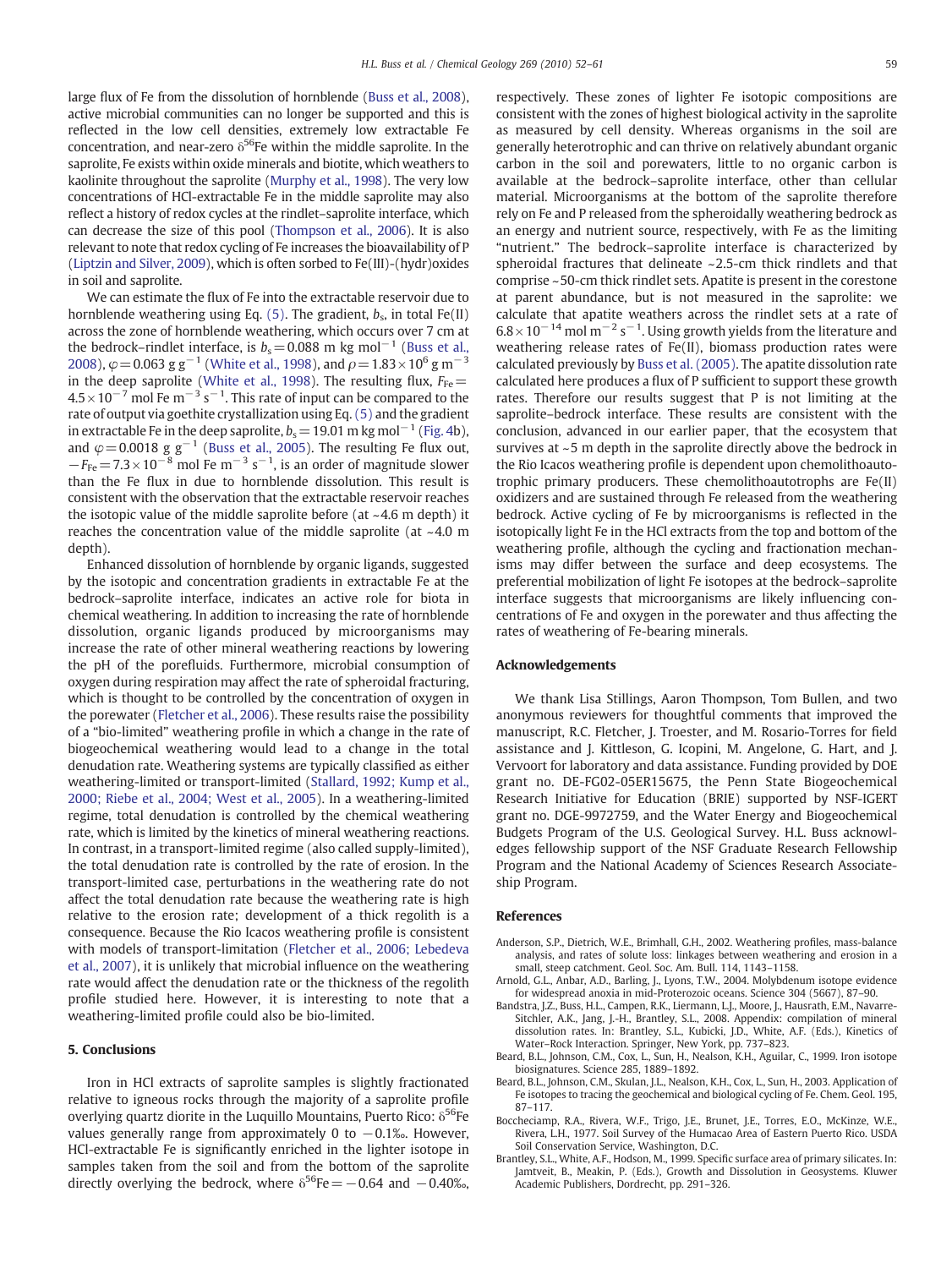<span id="page-7-0"></span>large flux of Fe from the dissolution of hornblende [\(Buss et al., 2008](#page-8-0)), active microbial communities can no longer be supported and this is reflected in the low cell densities, extremely low extractable Fe concentration, and near-zero  $\delta^{56}$ Fe within the middle saprolite. In the saprolite, Fe exists within oxide minerals and biotite, which weathers to kaolinite throughout the saprolite [\(Murphy et al., 1998](#page-8-0)). The very low concentrations of HCl-extractable Fe in the middle saprolite may also reflect a history of redox cycles at the rindlet–saprolite interface, which can decrease the size of this pool [\(Thompson et al., 2006](#page-8-0)). It is also relevant to note that redox cycling of Fe increases the bioavailability of P [\(Liptzin and Silver, 2009\)](#page-8-0), which is often sorbed to Fe(III)-(hydr)oxides in soil and saprolite.

We can estimate the flux of Fe into the extractable reservoir due to hornblende weathering using Eq.  $(5)$ . The gradient,  $b_s$ , in total Fe $(II)$ across the zone of hornblende weathering, which occurs over 7 cm at the bedrock–rindlet interface, is  $b_s = 0.088$  m kg mol<sup>-1</sup> ([Buss et al.,](#page-8-0) [2008\)](#page-8-0),  $\varphi$  = 0.063 g g<sup>-1</sup> ([White et al., 1998](#page-9-0)), and  $\rho$  = 1.83 × 10<sup>6</sup> g m<sup>-3</sup> in the deep saprolite [\(White et al., 1998](#page-9-0)). The resulting flux,  $F_{Fe}$  =  $4.5\times10^{-7}$  mol Fe m $^{-3}$  s $^{-1}$ . This rate of input can be compared to the rate of output via goethite crystallization using Eq. (5) and the gradient in extractable Fe in the deep saprolite,  $b_s = 19.01$  m kg mol<sup>−1</sup> [\(Fig. 4b](#page-4-0)), and  $\varphi\!=\!0.0018$  g g $^{-1}$  ([Buss et al., 2005](#page-8-0)). The resulting Fe flux out,  $-F_{Fe}$  = 7.3 × 10<sup>-8</sup> mol Fe m<sup>-3</sup> s<sup>-1</sup>, is an order of magnitude slower than the Fe flux in due to hornblende dissolution. This result is consistent with the observation that the extractable reservoir reaches the isotopic value of the middle saprolite before (at  $\sim$  4.6 m depth) it reaches the concentration value of the middle saprolite (at ~4.0 m depth).

Enhanced dissolution of hornblende by organic ligands, suggested by the isotopic and concentration gradients in extractable Fe at the bedrock–saprolite interface, indicates an active role for biota in chemical weathering. In addition to increasing the rate of hornblende dissolution, organic ligands produced by microorganisms may increase the rate of other mineral weathering reactions by lowering the pH of the porefluids. Furthermore, microbial consumption of oxygen during respiration may affect the rate of spheroidal fracturing, which is thought to be controlled by the concentration of oxygen in the porewater ([Fletcher et al., 2006](#page-8-0)). These results raise the possibility of a "bio-limited" weathering profile in which a change in the rate of biogeochemical weathering would lead to a change in the total denudation rate. Weathering systems are typically classified as either weathering-limited or transport-limited ([Stallard, 1992; Kump et al.,](#page-8-0) [2000; Riebe et al., 2004; West et al., 2005\)](#page-8-0). In a weathering-limited regime, total denudation is controlled by the chemical weathering rate, which is limited by the kinetics of mineral weathering reactions. In contrast, in a transport-limited regime (also called supply-limited), the total denudation rate is controlled by the rate of erosion. In the transport-limited case, perturbations in the weathering rate do not affect the total denudation rate because the weathering rate is high relative to the erosion rate; development of a thick regolith is a consequence. Because the Rio Icacos weathering profile is consistent with models of transport-limitation ([Fletcher et al., 2006; Lebedeva](#page-8-0) [et al., 2007](#page-8-0)), it is unlikely that microbial influence on the weathering rate would affect the denudation rate or the thickness of the regolith profile studied here. However, it is interesting to note that a weathering-limited profile could also be bio-limited.

#### 5. Conclusions

Iron in HCl extracts of saprolite samples is slightly fractionated relative to igneous rocks through the majority of a saprolite profile overlying quartz diorite in the Luquillo Mountains, Puerto Rico:  $\delta^{56}$ Fe values generally range from approximately 0 to  $-0.1%$ . However, HCl-extractable Fe is significantly enriched in the lighter isotope in samples taken from the soil and from the bottom of the saprolite directly overlying the bedrock, where  $\delta^{56}$ Fe = −0.64 and −0.40‰, respectively. These zones of lighter Fe isotopic compositions are consistent with the zones of highest biological activity in the saprolite as measured by cell density. Whereas organisms in the soil are generally heterotrophic and can thrive on relatively abundant organic carbon in the soil and porewaters, little to no organic carbon is available at the bedrock–saprolite interface, other than cellular material. Microorganisms at the bottom of the saprolite therefore rely on Fe and P released from the spheroidally weathering bedrock as an energy and nutrient source, respectively, with Fe as the limiting "nutrient." The bedrock–saprolite interface is characterized by spheroidal fractures that delineate ~2.5-cm thick rindlets and that comprise ~50-cm thick rindlet sets. Apatite is present in the corestone at parent abundance, but is not measured in the saprolite: we calculate that apatite weathers across the rindlet sets at a rate of  $6.8 \times 10^{-14}$  mol m<sup>-2</sup> s<sup>-1</sup>. Using growth yields from the literature and weathering release rates of Fe(II), biomass production rates were calculated previously by [Buss et al. \(2005\).](#page-8-0) The apatite dissolution rate calculated here produces a flux of P sufficient to support these growth rates. Therefore our results suggest that P is not limiting at the saprolite–bedrock interface. These results are consistent with the conclusion, advanced in our earlier paper, that the ecosystem that survives at ~5 m depth in the saprolite directly above the bedrock in the Rio Icacos weathering profile is dependent upon chemolithoautotrophic primary producers. These chemolithoautotrophs are Fe(II) oxidizers and are sustained through Fe released from the weathering bedrock. Active cycling of Fe by microorganisms is reflected in the isotopically light Fe in the HCl extracts from the top and bottom of the weathering profile, although the cycling and fractionation mechanisms may differ between the surface and deep ecosystems. The preferential mobilization of light Fe isotopes at the bedrock–saprolite interface suggests that microorganisms are likely influencing concentrations of Fe and oxygen in the porewater and thus affecting the rates of weathering of Fe-bearing minerals.

#### Acknowledgements

We thank Lisa Stillings, Aaron Thompson, Tom Bullen, and two anonymous reviewers for thoughtful comments that improved the manuscript, R.C. Fletcher, J. Troester, and M. Rosario-Torres for field assistance and J. Kittleson, G. Icopini, M. Angelone, G. Hart, and J. Vervoort for laboratory and data assistance. Funding provided by DOE grant no. DE-FG02-05ER15675, the Penn State Biogeochemical Research Initiative for Education (BRIE) supported by NSF-IGERT grant no. DGE-9972759, and the Water Energy and Biogeochemical Budgets Program of the U.S. Geological Survey. H.L. Buss acknowledges fellowship support of the NSF Graduate Research Fellowship Program and the National Academy of Sciences Research Associateship Program.

#### References

- Anderson, S.P., Dietrich, W.E., Brimhall, G.H., 2002. Weathering profiles, mass-balance analysis, and rates of solute loss: linkages between weathering and erosion in a small, steep catchment. Geol. Soc. Am. Bull. 114, 1143–1158.
- Arnold, G.L., Anbar, A.D., Barling, J., Lyons, T.W., 2004. Molybdenum isotope evidence for widespread anoxia in mid-Proterozoic oceans. Science 304 (5667), 87–90.
- Bandstra, J.Z., Buss, H.L., Campen, R.K., Liermann, L.J., Moore, J., Hausrath, E.M., Navarre-Sitchler, A.K., Jang, J.-H., Brantley, S.L., 2008. Appendix: compilation of mineral dissolution rates. In: Brantley, S.L., Kubicki, J.D., White, A.F. (Eds.), Kinetics of Water–Rock Interaction. Springer, New York, pp. 737–823.
- Beard, B.L., Johnson, C.M., Cox, L., Sun, H., Nealson, K.H., Aguilar, C., 1999. Iron isotope biosignatures. Science 285, 1889–1892.
- Beard, B.L., Johnson, C.M., Skulan, J.L., Nealson, K.H., Cox, L., Sun, H., 2003. Application of Fe isotopes to tracing the geochemical and biological cycling of Fe. Chem. Geol. 195, 87–117.
- Boccheciamp, R.A., Rivera, W.F., Trigo, J.E., Brunet, J.E., Torres, E.O., McKinze, W.E., Rivera, L.H., 1977. Soil Survey of the Humacao Area of Eastern Puerto Rico. USDA Soil Conservation Service, Washington, D.C.
- Brantley, S.L., White, A.F., Hodson, M., 1999. Specific surface area of primary silicates. In: Jamtveit, B., Meakin, P. (Eds.), Growth and Dissolution in Geosystems. Kluwer Academic Publishers, Dordrecht, pp. 291–326.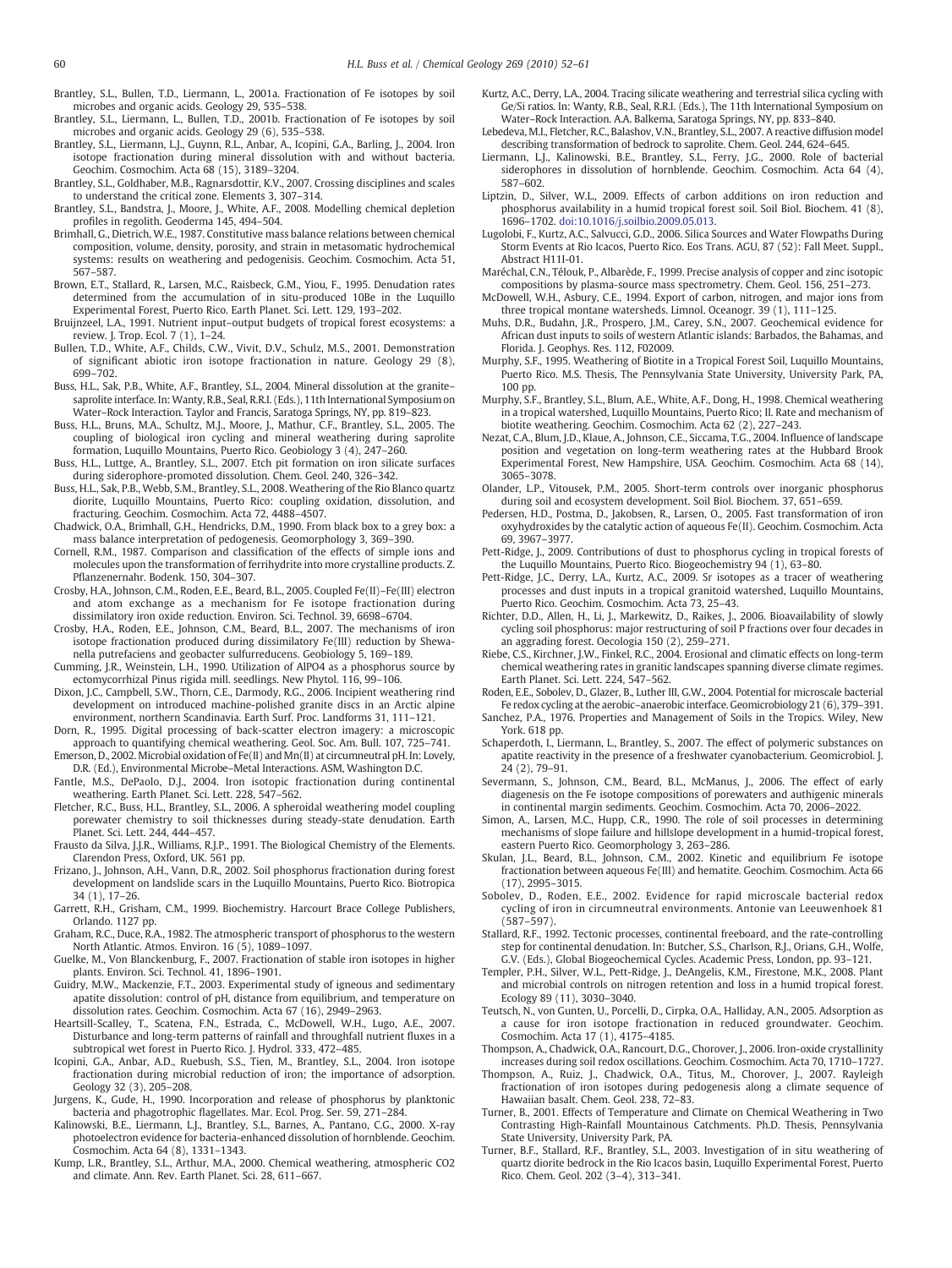<span id="page-8-0"></span>Brantley, S.L., Bullen, T.D., Liermann, L., 2001a. Fractionation of Fe isotopes by soil microbes and organic acids. Geology 29, 535–538.

Brantley, S.L., Liermann, L., Bullen, T.D., 2001b. Fractionation of Fe isotopes by soil microbes and organic acids. Geology 29 (6), 535–538.

- Brantley, S.L., Liermann, L.J., Guynn, R.L., Anbar, A., Icopini, G.A., Barling, J., 2004. Iron isotope fractionation during mineral dissolution with and without bacteria. Geochim. Cosmochim. Acta 68 (15), 3189–3204.
- Brantley, S.L., Goldhaber, M.B., Ragnarsdottir, K.V., 2007. Crossing disciplines and scales to understand the critical zone. Elements 3, 307–314.
- Brantley, S.L., Bandstra, J., Moore, J., White, A.F., 2008. Modelling chemical depletion profiles in regolith. Geoderma 145, 494–504.
- Brimhall, G., Dietrich, W.E., 1987. Constitutive mass balance relations between chemical composition, volume, density, porosity, and strain in metasomatic hydrochemical systems: results on weathering and pedogenisis. Geochim. Cosmochim. Acta 51, 567–587.
- Brown, E.T., Stallard, R., Larsen, M.C., Raisbeck, G.M., Yiou, F., 1995. Denudation rates determined from the accumulation of in situ-produced 10Be in the Luquillo Experimental Forest, Puerto Rico. Earth Planet. Sci. Lett. 129, 193–202.
- Bruijnzeel, L.A., 1991. Nutrient input–output budgets of tropical forest ecosystems: a review. J. Trop. Ecol. 7 (1), 1–24.
- Bullen, T.D., White, A.F., Childs, C.W., Vivit, D.V., Schulz, M.S., 2001. Demonstration of significant abiotic iron isotope fractionation in nature. Geology 29 (8), 699–702.
- Buss, H.L., Sak, P.B., White, A.F., Brantley, S.L., 2004. Mineral dissolution at the granite– saprolite interface. In: Wanty, R.B., Seal, R.R.I. (Eds.), 11th International Symposium on Water–Rock Interaction. Taylor and Francis, Saratoga Springs, NY, pp. 819–823.
- Buss, H.L., Bruns, M.A., Schultz, M.J., Moore, J., Mathur, C.F., Brantley, S.L., 2005. The coupling of biological iron cycling and mineral weathering during saprolite formation, Luquillo Mountains, Puerto Rico. Geobiology 3 (4), 247–260.
- Buss, H.L., Luttge, A., Brantley, S.L., 2007. Etch pit formation on iron silicate surfaces during siderophore-promoted dissolution. Chem. Geol. 240, 326–342.
- Buss, H.L., Sak, P.B., Webb, S.M., Brantley, S.L., 2008. Weathering of the Rio Blanco quartz diorite, Luquillo Mountains, Puerto Rico: coupling oxidation, dissolution, and fracturing. Geochim. Cosmochim. Acta 72, 4488–4507.
- Chadwick, O.A., Brimhall, G.H., Hendricks, D.M., 1990. From black box to a grey box: a mass balance interpretation of pedogenesis. Geomorphology 3, 369–390.
- Cornell, R.M., 1987. Comparison and classification of the effects of simple ions and molecules upon the transformation of ferrihydrite into more crystalline products. Z. Pflanzenernahr. Bodenk. 150, 304–307.
- Crosby, H.A., Johnson, C.M., Roden, E.E., Beard, B.L., 2005. Coupled Fe(II)–Fe(III) electron and atom exchange as a mechanism for Fe isotope fractionation during dissimilatory iron oxide reduction. Environ. Sci. Technol. 39, 6698–6704.
- Crosby, H.A., Roden, E.E., Johnson, C.M., Beard, B.L., 2007. The mechanisms of iron isotope fractionation produced during dissimilatory Fe(III) reduction by Shewanella putrefaciens and geobacter sulfurreducens. Geobiology 5, 169–189.
- Cumming, J.R., Weinstein, L.H., 1990. Utilization of AlPO4 as a phosphorus source by ectomycorrhizal Pinus rigida mill. seedlings. New Phytol. 116, 99–106.
- Dixon, J.C., Campbell, S.W., Thorn, C.E., Darmody, R.G., 2006. Incipient weathering rind development on introduced machine-polished granite discs in an Arctic alpine environment, northern Scandinavia. Earth Surf. Proc. Landforms 31, 111–121.
- Dorn, R., 1995. Digital processing of back-scatter electron imagery: a microscopic approach to quantifying chemical weathering. Geol. Soc. Am. Bull. 107, 725–741.
- Emerson, D., 2002. Microbial oxidation of Fe(II) and Mn(II) at circumneutral pH. In: Lovely, D.R. (Ed.), Environmental Microbe–Metal Interactions. ASM, Washington D.C.
- Fantle, M.S., DePaolo, D.J., 2004. Iron isotopic fractionation during continental weathering. Earth Planet. Sci. Lett. 228, 547–562.
- Fletcher, R.C., Buss, H.L., Brantley, S.L., 2006. A spheroidal weathering model coupling porewater chemistry to soil thicknesses during steady-state denudation. Earth Planet. Sci. Lett. 244, 444–457.
- Frausto da Silva, J.J.R., Williams, R.J.P., 1991. The Biological Chemistry of the Elements. Clarendon Press, Oxford, UK. 561 pp.
- Frizano, J., Johnson, A.H., Vann, D.R., 2002. Soil phosphorus fractionation during forest development on landslide scars in the Luquillo Mountains, Puerto Rico. Biotropica 34 (1), 17–26.
- Garrett, R.H., Grisham, C.M., 1999. Biochemistry. Harcourt Brace College Publishers, Orlando. 1127 pp.
- Graham, R.C., Duce, R.A., 1982. The atmospheric transport of phosphorus to the western North Atlantic. Atmos. Environ. 16 (5), 1089–1097.
- Guelke, M., Von Blanckenburg, F., 2007. Fractionation of stable iron isotopes in higher plants. Environ. Sci. Technol. 41, 1896–1901.
- Guidry, M.W., Mackenzie, F.T., 2003. Experimental study of igneous and sedimentary apatite dissolution: control of pH, distance from equilibrium, and temperature on dissolution rates. Geochim. Cosmochim. Acta 67 (16), 2949–2963.
- Heartsill-Scalley, T., Scatena, F.N., Estrada, C., McDowell, W.H., Lugo, A.E., 2007. Disturbance and long-term patterns of rainfall and throughfall nutrient fluxes in a subtropical wet forest in Puerto Rico. J. Hydrol. 333, 472–485. Icopini, G.A., Anbar, A.D., Ruebush, S.S., Tien, M., Brantley, S.L., 2004. Iron isotope
- fractionation during microbial reduction of iron; the importance of adsorption. Geology 32 (3), 205–208.
- Jurgens, K., Gude, H., 1990. Incorporation and release of phosphorus by planktonic bacteria and phagotrophic flagellates. Mar. Ecol. Prog. Ser. 59, 271–284.
- Kalinowski, B.E., Liermann, L.J., Brantley, S.L., Barnes, A., Pantano, C.G., 2000. X-ray photoelectron evidence for bacteria-enhanced dissolution of hornblende. Geochim. Cosmochim. Acta 64 (8), 1331–1343.
- Kump, L.R., Brantley, S.L., Arthur, M.A., 2000. Chemical weathering, atmospheric CO2 and climate. Ann. Rev. Earth Planet. Sci. 28, 611–667.
- Kurtz, A.C., Derry, L.A., 2004. Tracing silicate weathering and terrestrial silica cycling with Ge/Si ratios. In: Wanty, R.B., Seal, R.R.I. (Eds.), The 11th International Symposium on Water–Rock Interaction. A.A. Balkema, Saratoga Springs, NY, pp. 833–840.
- Lebedeva, M.L. Fletcher, R.C., Balashov, V.N., Brantley, S.L., 2007. A reactive diffusion model describing transformation of bedrock to saprolite. Chem. Geol. 244, 624–645.
- Liermann, L.J., Kalinowski, B.E., Brantley, S.L., Ferry, J.G., 2000. Role of bacterial siderophores in dissolution of hornblende. Geochim. Cosmochim. Acta 64 (4), 587–602.
- Liptzin, D., Silver, W.L., 2009. Effects of carbon additions on iron reduction and phosphorus availability in a humid tropical forest soil. Soil Biol. Biochem. 41 (8), 1696–1702. doi[:10.1016/j.soilbio.2009.05.013.](http://dx.doi.org/10.1016/j.soilbio.2009.05.013)
- Lugolobi, F., Kurtz, A.C., Salvucci, G.D., 2006. Silica Sources and Water Flowpaths During Storm Events at Rio Icacos, Puerto Rico. Eos Trans. AGU, 87 (52): Fall Meet. Suppl., Abstract H11I-01.
- Maréchal, C.N., Télouk, P., Albarède, F., 1999. Precise analysis of copper and zinc isotopic compositions by plasma-source mass spectrometry. Chem. Geol. 156, 251–273.
- McDowell, W.H., Asbury, C.E., 1994. Export of carbon, nitrogen, and major ions from three tropical montane watersheds. Limnol. Oceanogr. 39 (1), 111–125.
- Muhs, D.R., Budahn, J.R., Prospero, J.M., Carey, S.N., 2007. Geochemical evidence for African dust inputs to soils of western Atlantic islands: Barbados, the Bahamas, and Florida. J. Geophys. Res. 112, F02009.
- Murphy, S.F., 1995. Weathering of Biotite in a Tropical Forest Soil, Luquillo Mountains, Puerto Rico. M.S. Thesis, The Pennsylvania State University, University Park, PA, 100 pp.
- Murphy, S.F., Brantley, S.L., Blum, A.E., White, A.F., Dong, H., 1998. Chemical weathering in a tropical watershed, Luquillo Mountains, Puerto Rico; II. Rate and mechanism of biotite weathering. Geochim. Cosmochim. Acta 62 (2), 227–243.
- Nezat, C.A., Blum, J.D., Klaue, A., Johnson, C.E., Siccama, T.G., 2004. Influence of landscape position and vegetation on long-term weathering rates at the Hubbard Brook Experimental Forest, New Hampshire, USA. Geochim. Cosmochim. Acta 68 (14), 3065–3078.
- Olander, L.P., Vitousek, P.M., 2005. Short-term controls over inorganic phosphorus during soil and ecosystem development. Soil Biol. Biochem. 37, 651–659.
- Pedersen, H.D., Postma, D., Jakobsen, R., Larsen, O., 2005. Fast transformation of iron oxyhydroxides by the catalytic action of aqueous Fe(II). Geochim. Cosmochim. Acta 69, 3967–3977.
- Pett-Ridge, J., 2009. Contributions of dust to phosphorus cycling in tropical forests of the Luquillo Mountains, Puerto Rico. Biogeochemistry 94 (1), 63–80.
- Pett-Ridge, J.C., Derry, L.A., Kurtz, A.C., 2009. Sr isotopes as a tracer of weathering processes and dust inputs in a tropical granitoid watershed, Luquillo Mountains, Puerto Rico. Geochim. Cosmochim. Acta 73, 25–43.
- Richter, D.D., Allen, H., Li, J., Markewitz, D., Raikes, J., 2006. Bioavailability of slowly cycling soil phosphorus: major restructuring of soil P fractions over four decades in an aggrading forest. Oecologia 150 (2), 259–271.
- Riebe, C.S., Kirchner, J.W., Finkel, R.C., 2004. Erosional and climatic effects on long-term chemical weathering rates in granitic landscapes spanning diverse climate regimes. Earth Planet. Sci. Lett. 224, 547–562.
- Roden, E.E., Sobolev, D., Glazer, B., Luther III, G.W., 2004. Potential for microscale bacterial Fe redox cycling at the aerobic–anaerobic interface. Geomicrobiology 21 (6), 379–391.
- Sanchez, P.A., 1976. Properties and Management of Soils in the Tropics. Wiley, New York. 618 pp.
- Schaperdoth, I., Liermann, L., Brantley, S., 2007. The effect of polymeric substances on apatite reactivity in the presence of a freshwater cyanobacterium. Geomicrobiol. J. 24 (2), 79–91.
- Severmann, S., Johnson, C.M., Beard, B.L., McManus, J., 2006. The effect of early diagenesis on the Fe isotope compositions of porewaters and authigenic minerals in continental margin sediments. Geochim. Cosmochim. Acta 70, 2006–2022.
- Simon, A., Larsen, M.C., Hupp, C.R., 1990. The role of soil processes in determining mechanisms of slope failure and hillslope development in a humid-tropical forest, eastern Puerto Rico. Geomorphology 3, 263–286.
- Skulan, J.L., Beard, B.L., Johnson, C.M., 2002. Kinetic and equilibrium Fe isotope fractionation between aqueous Fe(III) and hematite. Geochim. Cosmochim. Acta 66 (17), 2995–3015.
- Sobolev, D., Roden, E.E., 2002. Evidence for rapid microscale bacterial redox cycling of iron in circumneutral environments. Antonie van Leeuwenhoek 81 (587–597).
- Stallard, R.F., 1992. Tectonic processes, continental freeboard, and the rate-controlling step for continental denudation. In: Butcher, S.S., Charlson, R.J., Orians, G.H., Wolfe, G.V. (Eds.), Global Biogeochemical Cycles. Academic Press, London, pp. 93–121.
- Templer, P.H., Silver, W.L., Pett-Ridge, J., DeAngelis, K.M., Firestone, M.K., 2008. Plant and microbial controls on nitrogen retention and loss in a humid tropical forest. Ecology 89 (11), 3030–3040.
- Teutsch, N., von Gunten, U., Porcelli, D., Cirpka, O.A., Halliday, A.N., 2005. Adsorption as a cause for iron isotope fractionation in reduced groundwater. Geochim. Cosmochim. Acta 17 (1), 4175–4185.
- Thompson, A., Chadwick, O.A., Rancourt, D.G., Chorover, J., 2006. Iron-oxide crystallinity
- increases during soil redox oscillations. Geochim. Cosmochim. Acta 70, 1710–1727. Thompson, A., Ruiz, J., Chadwick, O.A., Titus, M., Chorover, J., 2007. Rayleigh fractionation of iron isotopes during pedogenesis along a climate sequence of Hawaiian basalt. Chem. Geol. 238, 72–83.
- Turner, B., 2001. Effects of Temperature and Climate on Chemical Weathering in Two Contrasting High-Rainfall Mountainous Catchments. Ph.D. Thesis, Pennsylvania State University, University Park, PA.
- Turner, B.F., Stallard, R.F., Brantley, S.L., 2003. Investigation of in situ weathering of quartz diorite bedrock in the Rio Icacos basin, Luquillo Experimental Forest, Puerto Rico. Chem. Geol. 202 (3–4), 313–341.